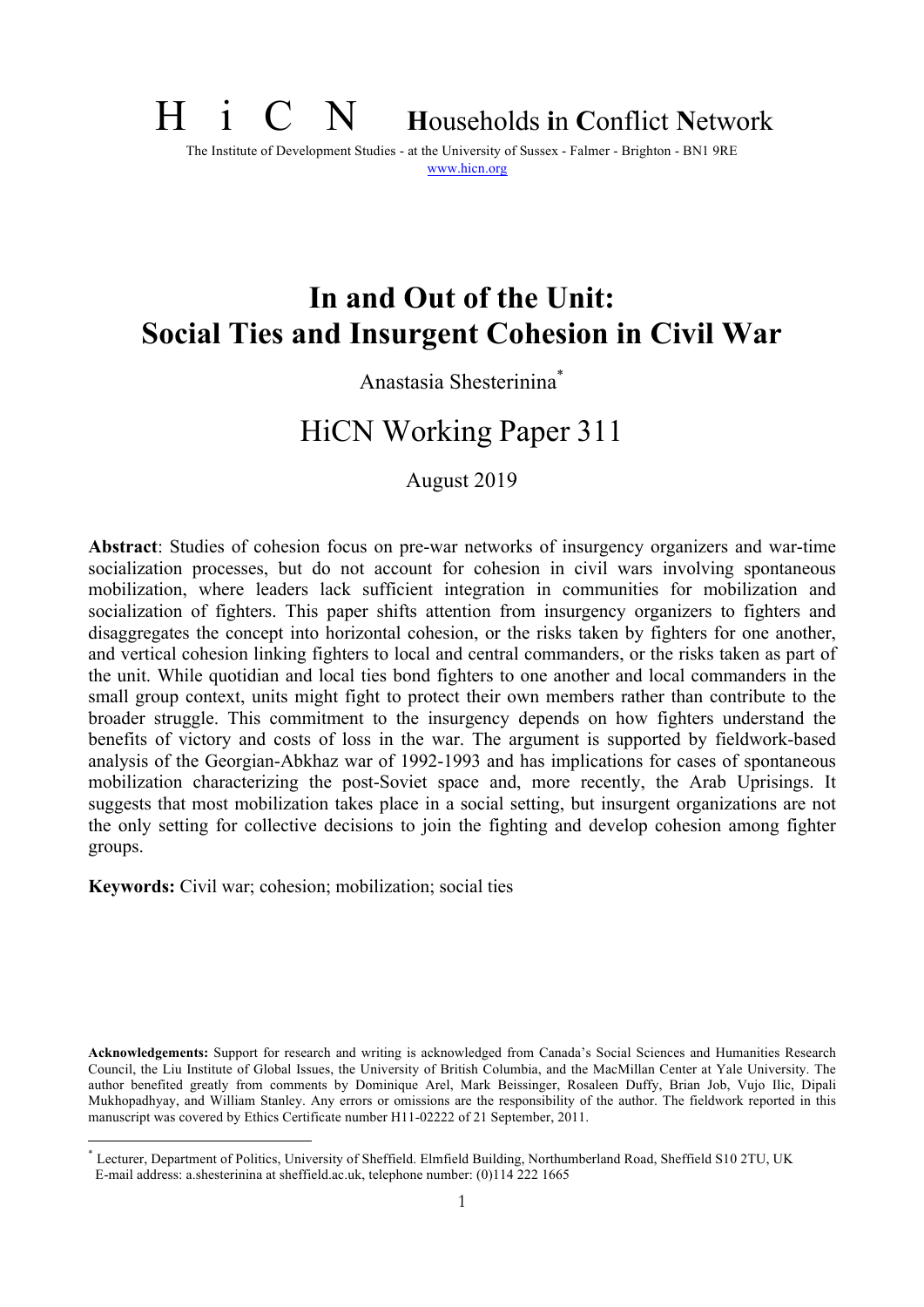# H i C N **<sup>H</sup>**ouseholds **i**n **C**onflict **<sup>N</sup>**etwork

The Institute of Development Studies - at the University of Sussex - Falmer - Brighton - BN1 9RE www.hicn.org

# **In and Out of the Unit: Social Ties and Insurgent Cohesion in Civil War**

### Anastasia Shesterinina\*

## HiCN Working Paper 311

August 2019

**Abstract**: Studies of cohesion focus on pre-war networks of insurgency organizers and war-time socialization processes, but do not account for cohesion in civil wars involving spontaneous mobilization, where leaders lack sufficient integration in communities for mobilization and socialization of fighters. This paper shifts attention from insurgency organizers to fighters and disaggregates the concept into horizontal cohesion, or the risks taken by fighters for one another, and vertical cohesion linking fighters to local and central commanders, or the risks taken as part of the unit. While quotidian and local ties bond fighters to one another and local commanders in the small group context, units might fight to protect their own members rather than contribute to the broader struggle. This commitment to the insurgency depends on how fighters understand the benefits of victory and costs of loss in the war. The argument is supported by fieldwork-based analysis of the Georgian-Abkhaz war of 1992-1993 and has implications for cases of spontaneous mobilization characterizing the post-Soviet space and, more recently, the Arab Uprisings. It suggests that most mobilization takes place in a social setting, but insurgent organizations are not the only setting for collective decisions to join the fighting and develop cohesion among fighter groups.

**Keywords:** Civil war; cohesion; mobilization; social ties

**Acknowledgements:** Support for research and writing is acknowledged from Canada's Social Sciences and Humanities Research Council, the Liu Institute of Global Issues, the University of British Columbia, and the MacMillan Center at Yale University. The author benefited greatly from comments by Dominique Arel, Mark Beissinger, Rosaleen Duffy, Brian Job, Vujo Ilic, Dipali Mukhopadhyay, and William Stanley. Any errors or omissions are the responsibility of the author. The fieldwork reported in this manuscript was covered by Ethics Certificate number H11-02222 of 21 September, 2011.

\* Lecturer, Department of Politics, University of Sheffield. Elmfield Building, Northumberland Road, Sheffield S10 2TU, UK E-mail address: a.shesterinina at sheffield.ac.uk, telephone number: (0)114 222 1665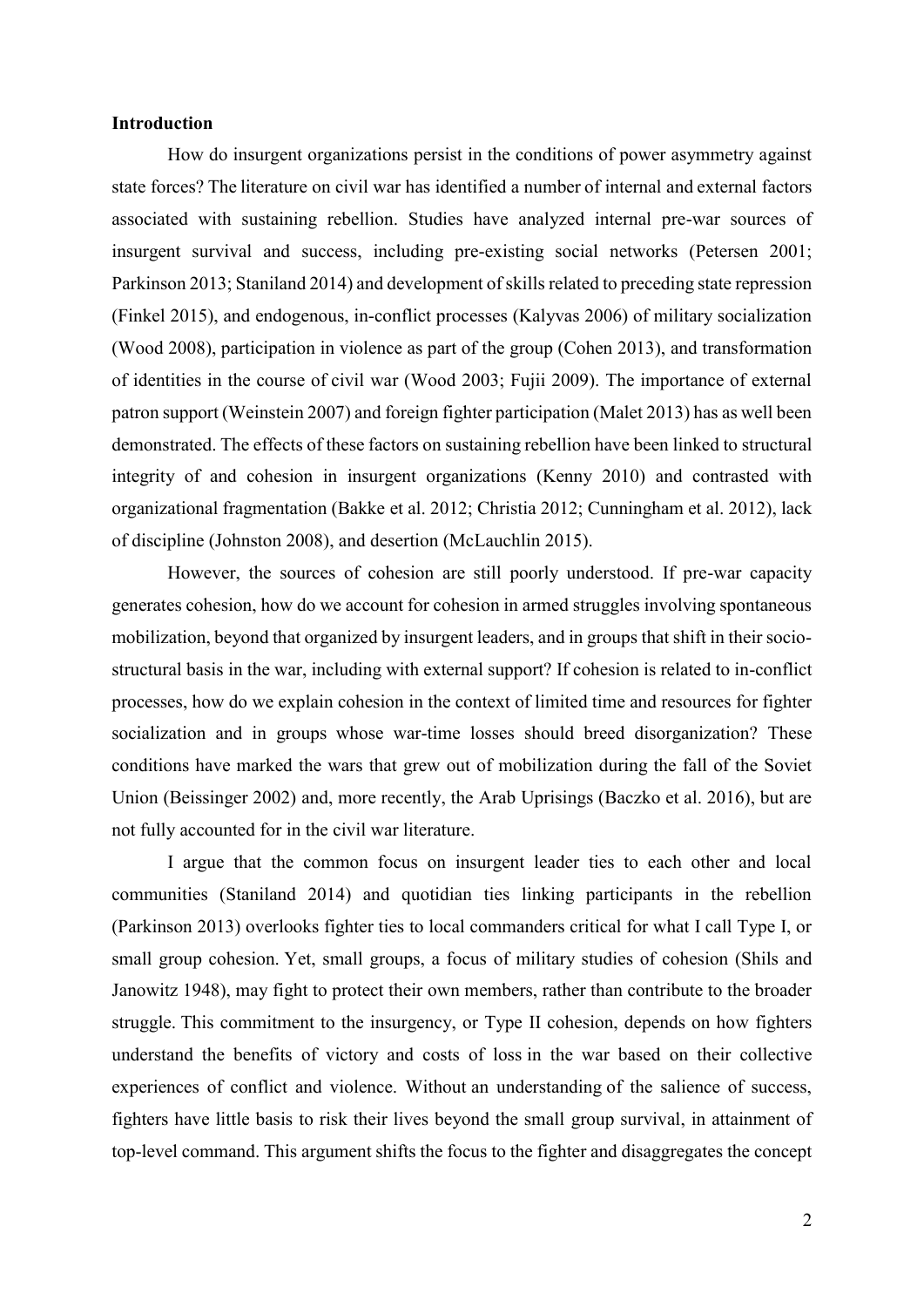#### **Introduction**

How do insurgent organizations persist in the conditions of power asymmetry against state forces? The literature on civil war has identified a number of internal and external factors associated with sustaining rebellion. Studies have analyzed internal pre-war sources of insurgent survival and success, including pre-existing social networks (Petersen 2001; Parkinson 2013; Staniland 2014) and development of skills related to preceding state repression (Finkel 2015), and endogenous, in-conflict processes (Kalyvas 2006) of military socialization (Wood 2008), participation in violence as part of the group (Cohen 2013), and transformation of identities in the course of civil war (Wood 2003; Fujii 2009). The importance of external patron support (Weinstein 2007) and foreign fighter participation (Malet 2013) has as well been demonstrated. The effects of these factors on sustaining rebellion have been linked to structural integrity of and cohesion in insurgent organizations (Kenny 2010) and contrasted with organizational fragmentation (Bakke et al. 2012; Christia 2012; Cunningham et al. 2012), lack of discipline (Johnston 2008), and desertion (McLauchlin 2015).

However, the sources of cohesion are still poorly understood. If pre-war capacity generates cohesion, how do we account for cohesion in armed struggles involving spontaneous mobilization, beyond that organized by insurgent leaders, and in groups that shift in their sociostructural basis in the war, including with external support? If cohesion is related to in-conflict processes, how do we explain cohesion in the context of limited time and resources for fighter socialization and in groups whose war-time losses should breed disorganization? These conditions have marked the wars that grew out of mobilization during the fall of the Soviet Union (Beissinger 2002) and, more recently, the Arab Uprisings (Baczko et al. 2016), but are not fully accounted for in the civil war literature.

I argue that the common focus on insurgent leader ties to each other and local communities (Staniland 2014) and quotidian ties linking participants in the rebellion (Parkinson 2013) overlooks fighter ties to local commanders critical for what I call Type I, or small group cohesion. Yet, small groups, a focus of military studies of cohesion (Shils and Janowitz 1948), may fight to protect their own members, rather than contribute to the broader struggle. This commitment to the insurgency, or Type II cohesion, depends on how fighters understand the benefits of victory and costs of loss in the war based on their collective experiences of conflict and violence. Without an understanding of the salience of success, fighters have little basis to risk their lives beyond the small group survival, in attainment of top-level command. This argument shifts the focus to the fighter and disaggregates the concept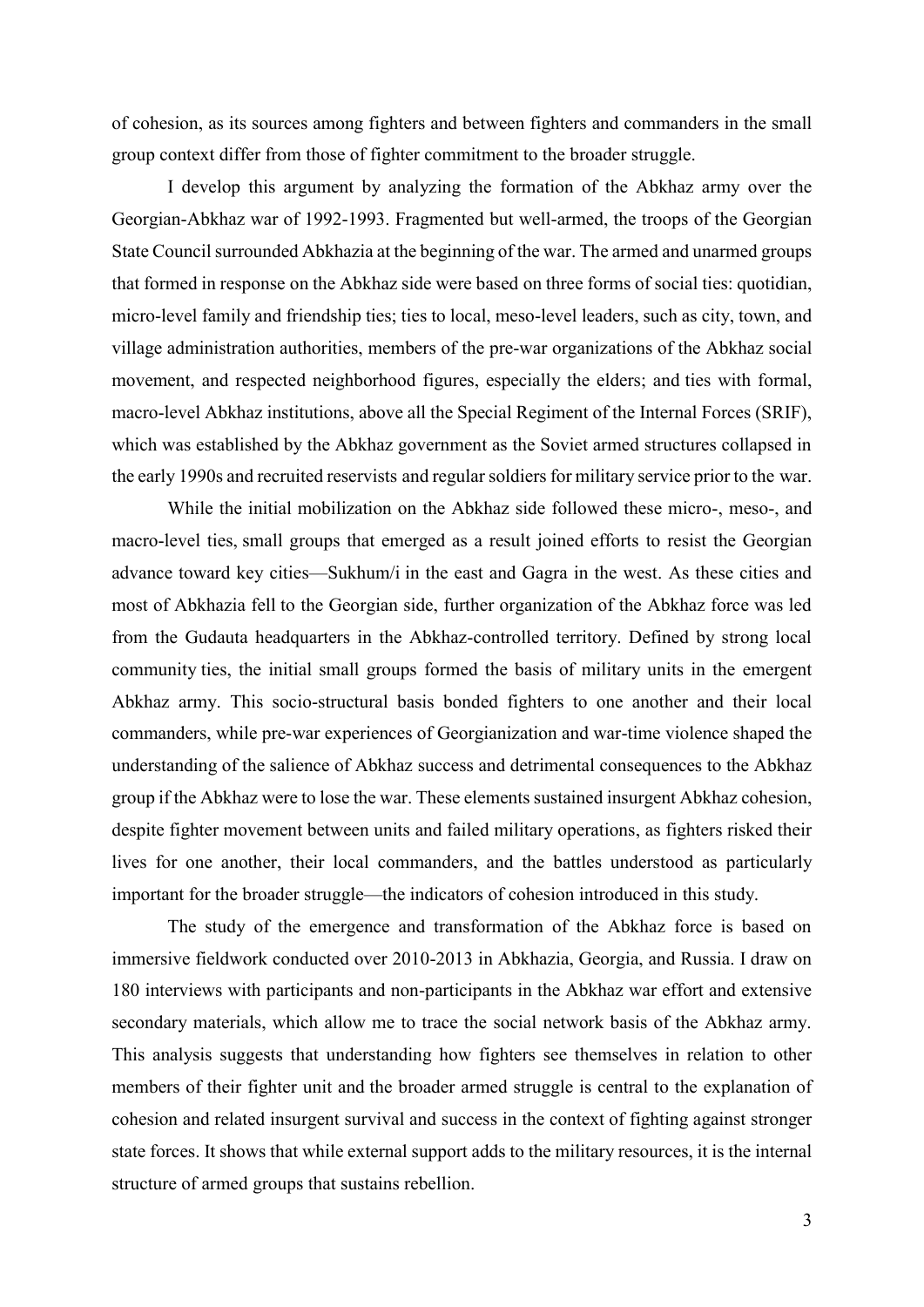of cohesion, as its sources among fighters and between fighters and commanders in the small group context differ from those of fighter commitment to the broader struggle.

I develop this argument by analyzing the formation of the Abkhaz army over the Georgian-Abkhaz war of 1992-1993. Fragmented but well-armed, the troops of the Georgian State Council surrounded Abkhazia at the beginning of the war. The armed and unarmed groups that formed in response on the Abkhaz side were based on three forms of social ties: quotidian, micro-level family and friendship ties; ties to local, meso-level leaders, such as city, town, and village administration authorities, members of the pre-war organizations of the Abkhaz social movement, and respected neighborhood figures, especially the elders; and ties with formal, macro-level Abkhaz institutions, above all the Special Regiment of the Internal Forces (SRIF), which was established by the Abkhaz government as the Soviet armed structures collapsed in the early 1990s and recruited reservists and regular soldiers for military service prior to the war.

While the initial mobilization on the Abkhaz side followed these micro-, meso-, and macro-level ties, small groups that emerged as a result joined efforts to resist the Georgian advance toward key cities—Sukhum/i in the east and Gagra in the west. As these cities and most of Abkhazia fell to the Georgian side, further organization of the Abkhaz force was led from the Gudauta headquarters in the Abkhaz-controlled territory. Defined by strong local community ties, the initial small groups formed the basis of military units in the emergent Abkhaz army. This socio-structural basis bonded fighters to one another and their local commanders, while pre-war experiences of Georgianization and war-time violence shaped the understanding of the salience of Abkhaz success and detrimental consequences to the Abkhaz group if the Abkhaz were to lose the war. These elements sustained insurgent Abkhaz cohesion, despite fighter movement between units and failed military operations, as fighters risked their lives for one another, their local commanders, and the battles understood as particularly important for the broader struggle—the indicators of cohesion introduced in this study.

The study of the emergence and transformation of the Abkhaz force is based on immersive fieldwork conducted over 2010-2013 in Abkhazia, Georgia, and Russia. I draw on 180 interviews with participants and non-participants in the Abkhaz war effort and extensive secondary materials, which allow me to trace the social network basis of the Abkhaz army. This analysis suggests that understanding how fighters see themselves in relation to other members of their fighter unit and the broader armed struggle is central to the explanation of cohesion and related insurgent survival and success in the context of fighting against stronger state forces. It shows that while external support adds to the military resources, it is the internal structure of armed groups that sustains rebellion.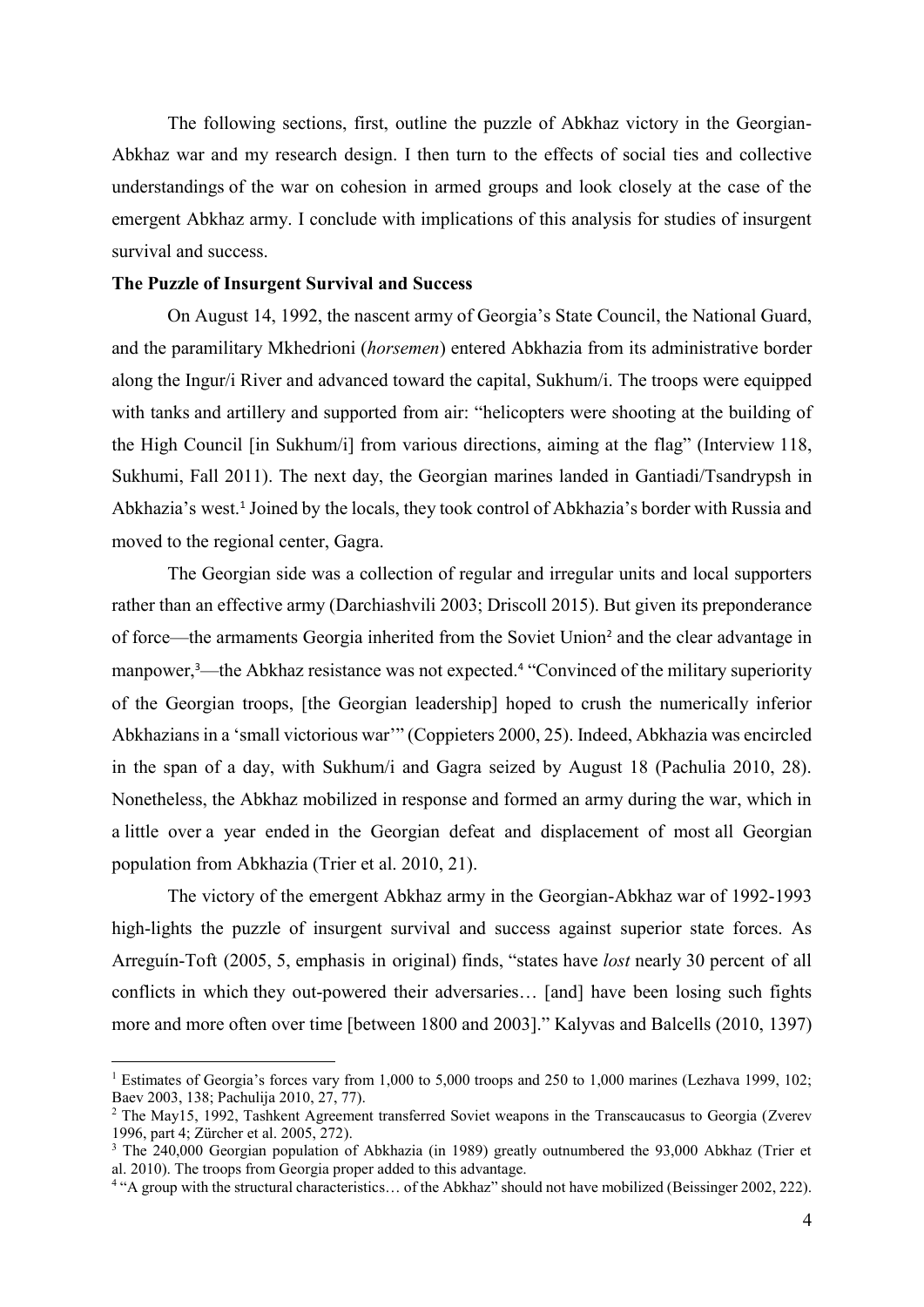The following sections, first, outline the puzzle of Abkhaz victory in the Georgian-Abkhaz war and my research design. I then turn to the effects of social ties and collective understandings of the war on cohesion in armed groups and look closely at the case of the emergent Abkhaz army. I conclude with implications of this analysis for studies of insurgent survival and success.

#### **The Puzzle of Insurgent Survival and Success**

On August 14, 1992, the nascent army of Georgia's State Council, the National Guard, and the paramilitary Mkhedrioni (*horsemen*) entered Abkhazia from its administrative border along the Ingur/i River and advanced toward the capital, Sukhum/i. The troops were equipped with tanks and artillery and supported from air: "helicopters were shooting at the building of the High Council [in Sukhum/i] from various directions, aiming at the flag" (Interview 118, Sukhumi, Fall 2011). The next day, the Georgian marines landed in Gantiadi/Tsandrypsh in Abkhazia's west.<sup>1</sup> Joined by the locals, they took control of Abkhazia's border with Russia and moved to the regional center, Gagra.

The Georgian side was a collection of regular and irregular units and local supporters rather than an effective army (Darchiashvili 2003; Driscoll 2015). But given its preponderance of force—the armaments Georgia inherited from the Soviet Union<sup>2</sup> and the clear advantage in manpower,<sup>3</sup>—the Abkhaz resistance was not expected.<sup>4</sup> "Convinced of the military superiority of the Georgian troops, [the Georgian leadership] hoped to crush the numerically inferior Abkhazians in a 'small victorious war'" (Coppieters 2000, 25). Indeed, Abkhazia was encircled in the span of a day, with Sukhum/i and Gagra seized by August 18 (Pachulia 2010, 28). Nonetheless, the Abkhaz mobilized in response and formed an army during the war, which in a little over a year ended in the Georgian defeat and displacement of most all Georgian population from Abkhazia (Trier et al. 2010, 21).

The victory of the emergent Abkhaz army in the Georgian-Abkhaz war of 1992-1993 high-lights the puzzle of insurgent survival and success against superior state forces. As Arreguín-Toft (2005, 5, emphasis in original) finds, "states have *lost* nearly 30 percent of all conflicts in which they out-powered their adversaries… [and] have been losing such fights more and more often over time [between 1800 and 2003]." Kalyvas and Balcells (2010, 1397)

<sup>&</sup>lt;sup>1</sup> Estimates of Georgia's forces vary from 1,000 to 5,000 troops and 250 to 1,000 marines (Lezhava 1999, 102; Baev 2003, 138; Pachulija 2010, 27, 77).

<sup>&</sup>lt;sup>2</sup> The May15, 1992, Tashkent Agreement transferred Soviet weapons in the Transcaucasus to Georgia (Zverev 1996, part 4; Zürcher et al. 2005, 272).

<sup>&</sup>lt;sup>3</sup> The 240,000 Georgian population of Abkhazia (in 1989) greatly outnumbered the 93,000 Abkhaz (Trier et al. 2010). The troops from Georgia proper added to this advantage.

<sup>&</sup>lt;sup>4</sup> "A group with the structural characteristics... of the Abkhaz" should not have mobilized (Beissinger 2002, 222).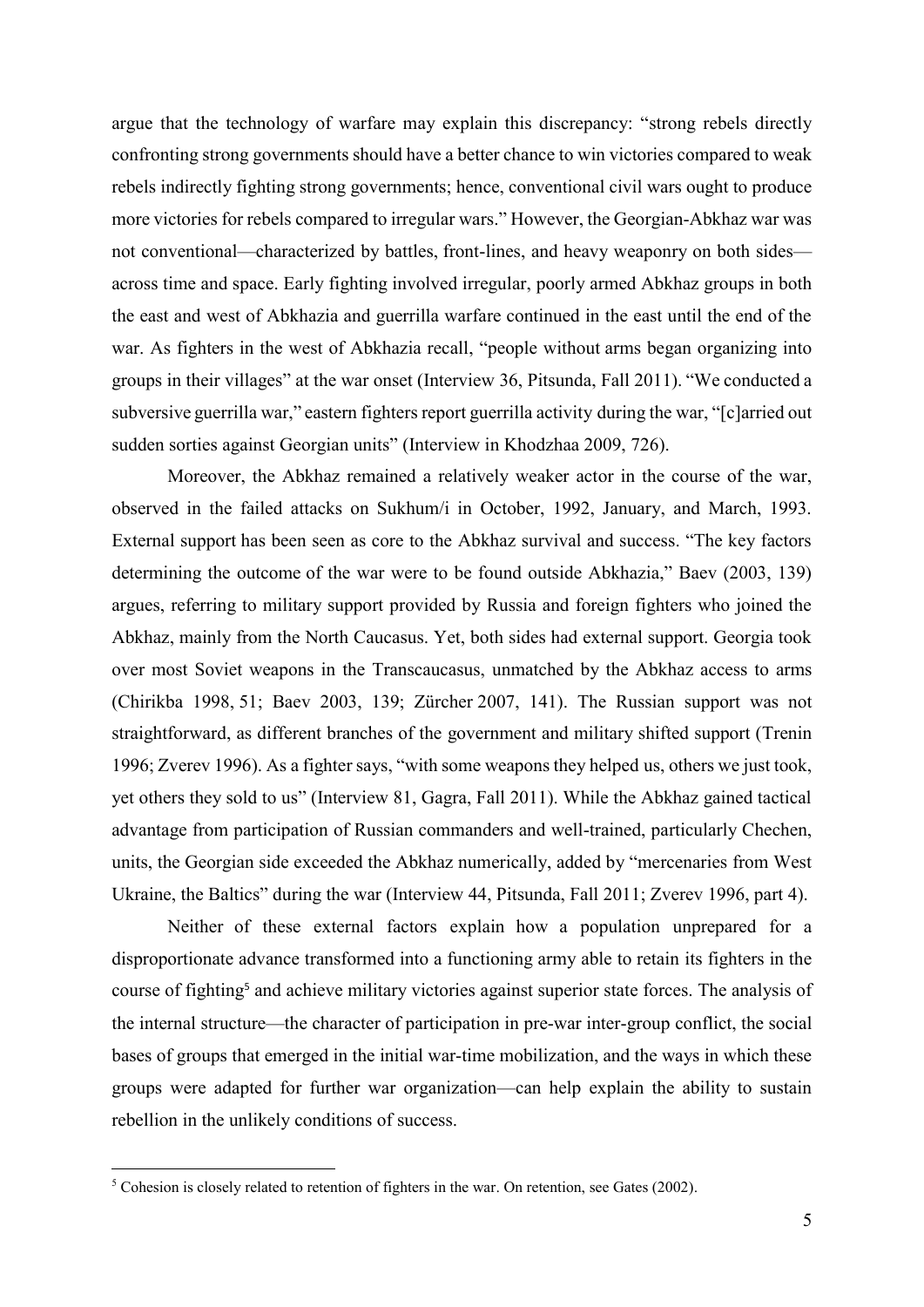argue that the technology of warfare may explain this discrepancy: "strong rebels directly confronting strong governments should have a better chance to win victories compared to weak rebels indirectly fighting strong governments; hence, conventional civil wars ought to produce more victories for rebels compared to irregular wars." However, the Georgian-Abkhaz war was not conventional—characterized by battles, front-lines, and heavy weaponry on both sides across time and space. Early fighting involved irregular, poorly armed Abkhaz groups in both the east and west of Abkhazia and guerrilla warfare continued in the east until the end of the war. As fighters in the west of Abkhazia recall, "people without arms began organizing into groups in their villages" at the war onset (Interview 36, Pitsunda, Fall 2011). "We conducted a subversive guerrilla war," eastern fighters report guerrilla activity during the war, "[c]arried out sudden sorties against Georgian units" (Interview in Khodzhaa 2009, 726).

Moreover, the Abkhaz remained a relatively weaker actor in the course of the war, observed in the failed attacks on Sukhum/i in October, 1992, January, and March, 1993. External support has been seen as core to the Abkhaz survival and success. "The key factors determining the outcome of the war were to be found outside Abkhazia," Baev (2003, 139) argues, referring to military support provided by Russia and foreign fighters who joined the Abkhaz, mainly from the North Caucasus. Yet, both sides had external support. Georgia took over most Soviet weapons in the Transcaucasus, unmatched by the Abkhaz access to arms (Chirikba 1998, 51; Baev 2003, 139; Zürcher 2007, 141). The Russian support was not straightforward, as different branches of the government and military shifted support (Trenin 1996; Zverev 1996). As a fighter says, "with some weapons they helped us, others we just took, yet others they sold to us" (Interview 81, Gagra, Fall 2011). While the Abkhaz gained tactical advantage from participation of Russian commanders and well-trained, particularly Chechen, units, the Georgian side exceeded the Abkhaz numerically, added by "mercenaries from West Ukraine, the Baltics" during the war (Interview 44, Pitsunda, Fall 2011; Zverev 1996, part 4).

Neither of these external factors explain how a population unprepared for a disproportionate advance transformed into a functioning army able to retain its fighters in the course of fighting<sup>5</sup> and achieve military victories against superior state forces. The analysis of the internal structure—the character of participation in pre-war inter-group conflict, the social bases of groups that emerged in the initial war-time mobilization, and the ways in which these groups were adapted for further war organization—can help explain the ability to sustain rebellion in the unlikely conditions of success.

<sup>&</sup>lt;sup>5</sup> Cohesion is closely related to retention of fighters in the war. On retention, see Gates (2002).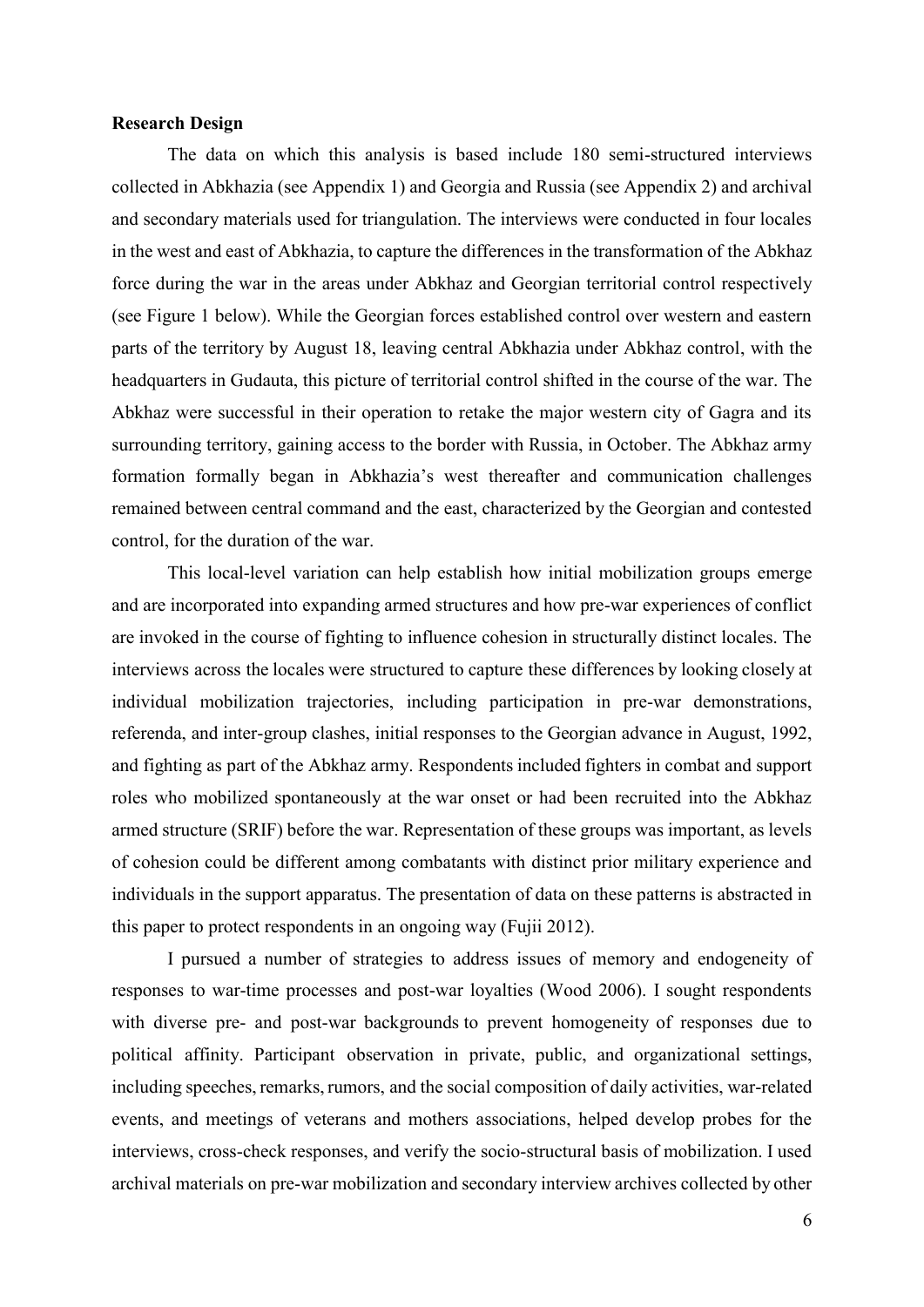#### **Research Design**

The data on which this analysis is based include 180 semi-structured interviews collected in Abkhazia (see Appendix 1) and Georgia and Russia (see Appendix 2) and archival and secondary materials used for triangulation. The interviews were conducted in four locales in the west and east of Abkhazia, to capture the differences in the transformation of the Abkhaz force during the war in the areas under Abkhaz and Georgian territorial control respectively (see Figure 1 below). While the Georgian forces established control over western and eastern parts of the territory by August 18, leaving central Abkhazia under Abkhaz control, with the headquarters in Gudauta, this picture of territorial control shifted in the course of the war. The Abkhaz were successful in their operation to retake the major western city of Gagra and its surrounding territory, gaining access to the border with Russia, in October. The Abkhaz army formation formally began in Abkhazia's west thereafter and communication challenges remained between central command and the east, characterized by the Georgian and contested control, for the duration of the war.

This local-level variation can help establish how initial mobilization groups emerge and are incorporated into expanding armed structures and how pre-war experiences of conflict are invoked in the course of fighting to influence cohesion in structurally distinct locales. The interviews across the locales were structured to capture these differences by looking closely at individual mobilization trajectories, including participation in pre-war demonstrations, referenda, and inter-group clashes, initial responses to the Georgian advance in August, 1992, and fighting as part of the Abkhaz army. Respondents included fighters in combat and support roles who mobilized spontaneously at the war onset or had been recruited into the Abkhaz armed structure (SRIF) before the war. Representation of these groups was important, as levels of cohesion could be different among combatants with distinct prior military experience and individuals in the support apparatus. The presentation of data on these patterns is abstracted in this paper to protect respondents in an ongoing way (Fujii 2012).

I pursued a number of strategies to address issues of memory and endogeneity of responses to war-time processes and post-war loyalties (Wood 2006). I sought respondents with diverse pre- and post-war backgrounds to prevent homogeneity of responses due to political affinity. Participant observation in private, public, and organizational settings, including speeches, remarks, rumors, and the social composition of daily activities, war-related events, and meetings of veterans and mothers associations, helped develop probes for the interviews, cross-check responses, and verify the socio-structural basis of mobilization. I used archival materials on pre-war mobilization and secondary interview archives collected by other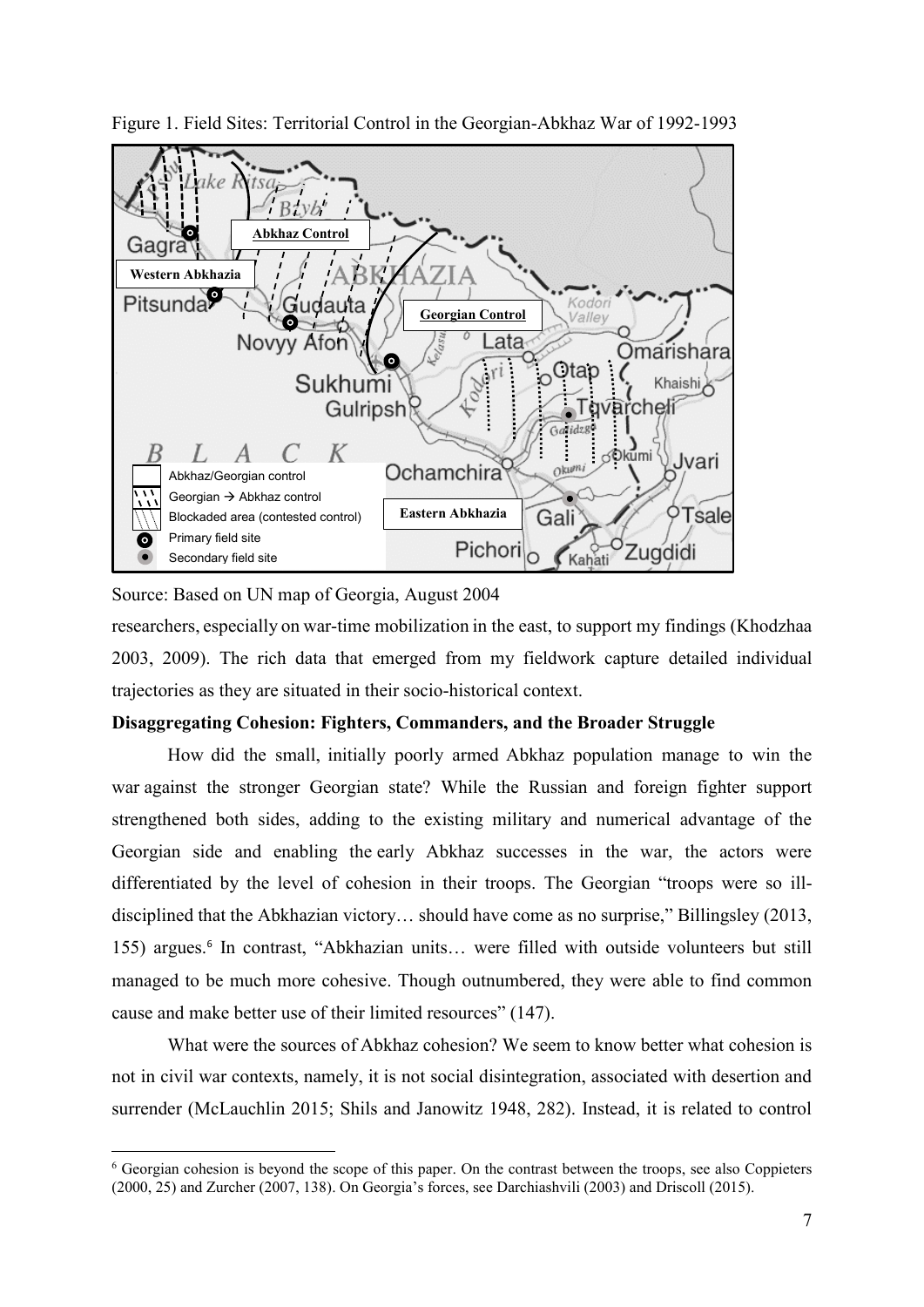

Figure 1. Field Sites: Territorial Control in the Georgian-Abkhaz War of 1992-1993

Source: Based on UN map of Georgia, August 2004

researchers, especially on war-time mobilization in the east, to support my findings (Khodzhaa 2003, 2009). The rich data that emerged from my fieldwork capture detailed individual trajectories as they are situated in their socio-historical context.

#### **Disaggregating Cohesion: Fighters, Commanders, and the Broader Struggle**

How did the small, initially poorly armed Abkhaz population manage to win the war against the stronger Georgian state? While the Russian and foreign fighter support strengthened both sides, adding to the existing military and numerical advantage of the Georgian side and enabling the early Abkhaz successes in the war, the actors were differentiated by the level of cohesion in their troops. The Georgian "troops were so illdisciplined that the Abkhazian victory… should have come as no surprise," Billingsley (2013, 155) argues. <sup>6</sup> In contrast, "Abkhazian units… were filled with outside volunteers but still managed to be much more cohesive. Though outnumbered, they were able to find common cause and make better use of their limited resources" (147).

What were the sources of Abkhaz cohesion? We seem to know better what cohesion is not in civil war contexts, namely, it is not social disintegration, associated with desertion and surrender (McLauchlin 2015; Shils and Janowitz 1948, 282). Instead, it is related to control

<sup>6</sup> Georgian cohesion is beyond the scope of this paper. On the contrast between the troops, see also Coppieters (2000, 25) and Zurcher (2007, 138). On Georgia's forces, see Darchiashvili (2003) and Driscoll (2015).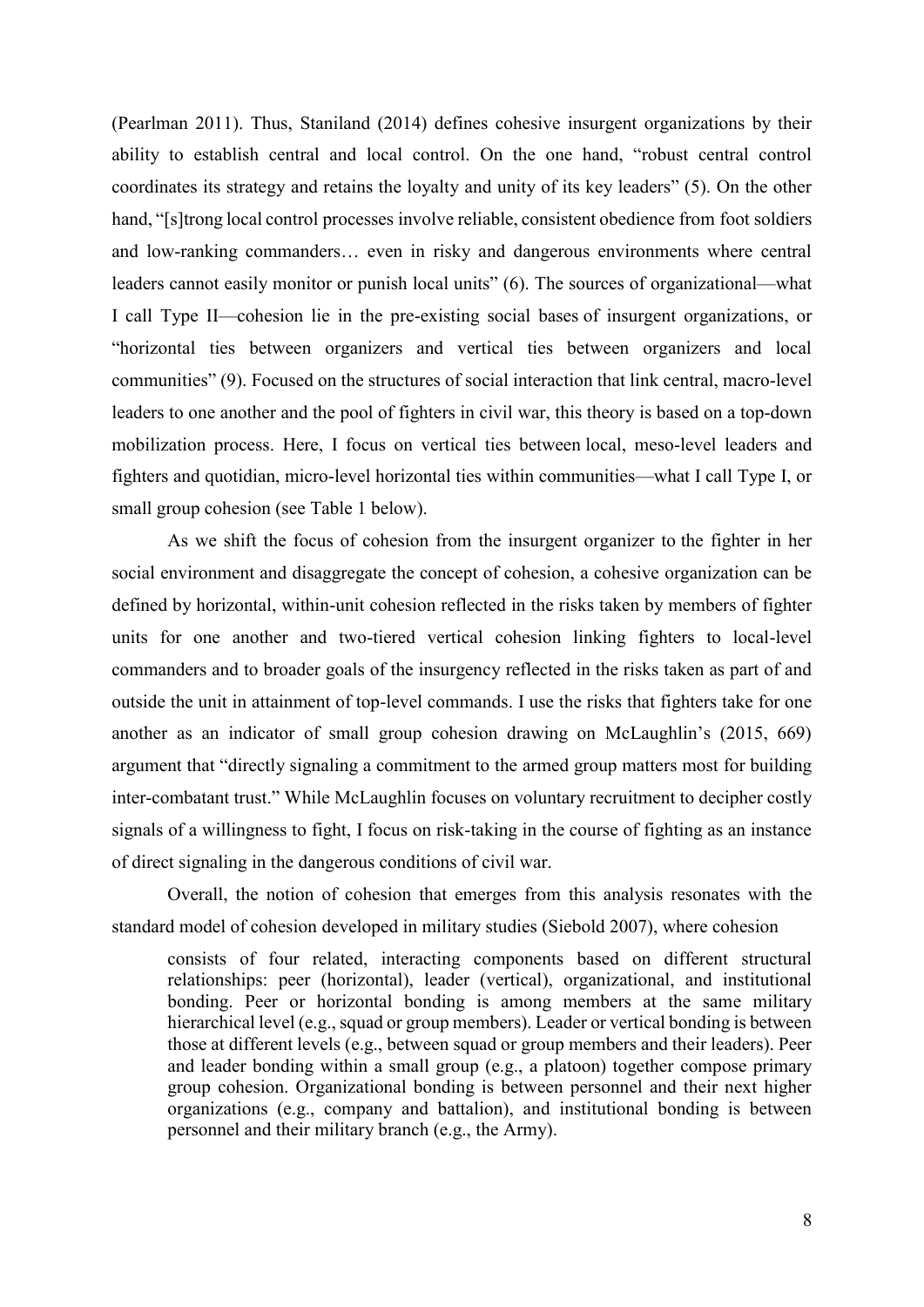(Pearlman 2011). Thus, Staniland (2014) defines cohesive insurgent organizations by their ability to establish central and local control. On the one hand, "robust central control coordinates its strategy and retains the loyalty and unity of its key leaders" (5). On the other hand, "[s]trong local control processes involve reliable, consistent obedience from foot soldiers and low-ranking commanders… even in risky and dangerous environments where central leaders cannot easily monitor or punish local units" (6). The sources of organizational—what I call Type II—cohesion lie in the pre-existing social bases of insurgent organizations, or "horizontal ties between organizers and vertical ties between organizers and local communities" (9). Focused on the structures of social interaction that link central, macro-level leaders to one another and the pool of fighters in civil war, this theory is based on a top-down mobilization process. Here, I focus on vertical ties between local, meso-level leaders and fighters and quotidian, micro-level horizontal ties within communities—what I call Type I, or small group cohesion (see Table 1 below).

As we shift the focus of cohesion from the insurgent organizer to the fighter in her social environment and disaggregate the concept of cohesion, a cohesive organization can be defined by horizontal, within-unit cohesion reflected in the risks taken by members of fighter units for one another and two-tiered vertical cohesion linking fighters to local-level commanders and to broader goals of the insurgency reflected in the risks taken as part of and outside the unit in attainment of top-level commands. I use the risks that fighters take for one another as an indicator of small group cohesion drawing on McLaughlin's (2015, 669) argument that "directly signaling a commitment to the armed group matters most for building inter-combatant trust." While McLaughlin focuses on voluntary recruitment to decipher costly signals of a willingness to fight, I focus on risk-taking in the course of fighting as an instance of direct signaling in the dangerous conditions of civil war.

Overall, the notion of cohesion that emerges from this analysis resonates with the standard model of cohesion developed in military studies (Siebold 2007), where cohesion

consists of four related, interacting components based on different structural relationships: peer (horizontal), leader (vertical), organizational, and institutional bonding. Peer or horizontal bonding is among members at the same military hierarchical level (e.g., squad or group members). Leader or vertical bonding is between those at different levels (e.g., between squad or group members and their leaders). Peer and leader bonding within a small group (e.g., a platoon) together compose primary group cohesion. Organizational bonding is between personnel and their next higher organizations (e.g., company and battalion), and institutional bonding is between personnel and their military branch (e.g., the Army).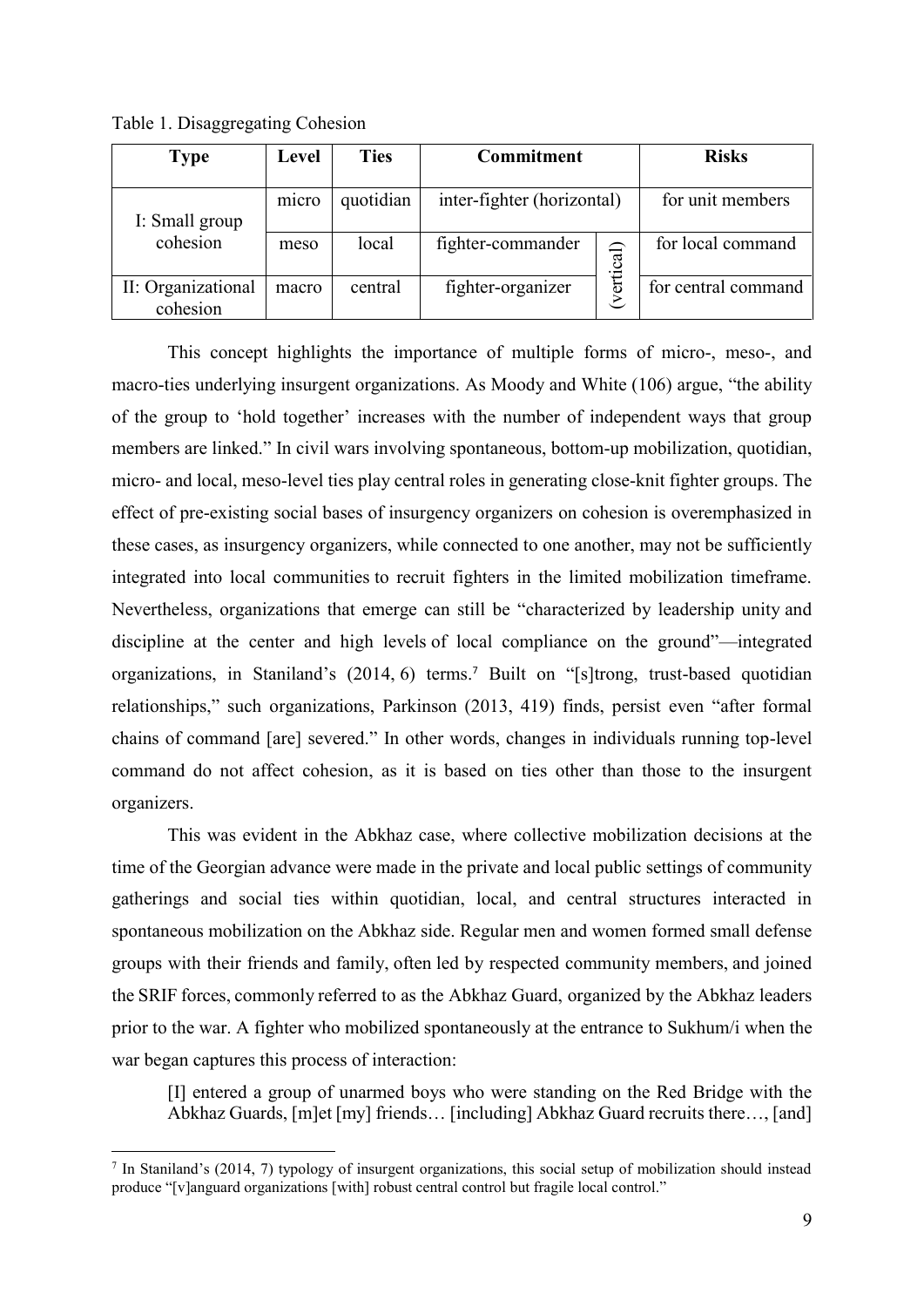| <b>Type</b>                    | Level | <b>Ties</b> | <b>Commitment</b>          |           | <b>Risks</b>        |
|--------------------------------|-------|-------------|----------------------------|-----------|---------------------|
| I: Small group                 | micro | quotidian   | inter-fighter (horizontal) |           | for unit members    |
| cohesion                       | meso  | local       | fighter-commander          | vertical) | for local command   |
| II: Organizational<br>cohesion | macro | central     | fighter-organizer          |           | for central command |

Table 1. Disaggregating Cohesion

This concept highlights the importance of multiple forms of micro-, meso-, and macro-ties underlying insurgent organizations. As Moody and White (106) argue, "the ability of the group to 'hold together' increases with the number of independent ways that group members are linked." In civil wars involving spontaneous, bottom-up mobilization, quotidian, micro- and local, meso-level ties play central roles in generating close-knit fighter groups. The effect of pre-existing social bases of insurgency organizers on cohesion is overemphasized in these cases, as insurgency organizers, while connected to one another, may not be sufficiently integrated into local communities to recruit fighters in the limited mobilization timeframe. Nevertheless, organizations that emerge can still be "characterized by leadership unity and discipline at the center and high levels of local compliance on the ground"—integrated organizations, in Staniland's (2014, 6) terms.<sup>7</sup> Built on "[s]trong, trust-based quotidian relationships," such organizations, Parkinson (2013, 419) finds, persist even "after formal chains of command [are] severed." In other words, changes in individuals running top-level command do not affect cohesion, as it is based on ties other than those to the insurgent organizers.

This was evident in the Abkhaz case, where collective mobilization decisions at the time of the Georgian advance were made in the private and local public settings of community gatherings and social ties within quotidian, local, and central structures interacted in spontaneous mobilization on the Abkhaz side. Regular men and women formed small defense groups with their friends and family, often led by respected community members, and joined the SRIF forces, commonly referred to as the Abkhaz Guard, organized by the Abkhaz leaders prior to the war. A fighter who mobilized spontaneously at the entrance to Sukhum/i when the war began captures this process of interaction:

[I] entered a group of unarmed boys who were standing on the Red Bridge with the Abkhaz Guards, [m]et [my] friends… [including] Abkhaz Guard recruits there…, [and]

<sup>7</sup> In Staniland's (2014, 7) typology of insurgent organizations, this social setup of mobilization should instead produce "[v]anguard organizations [with] robust central control but fragile local control."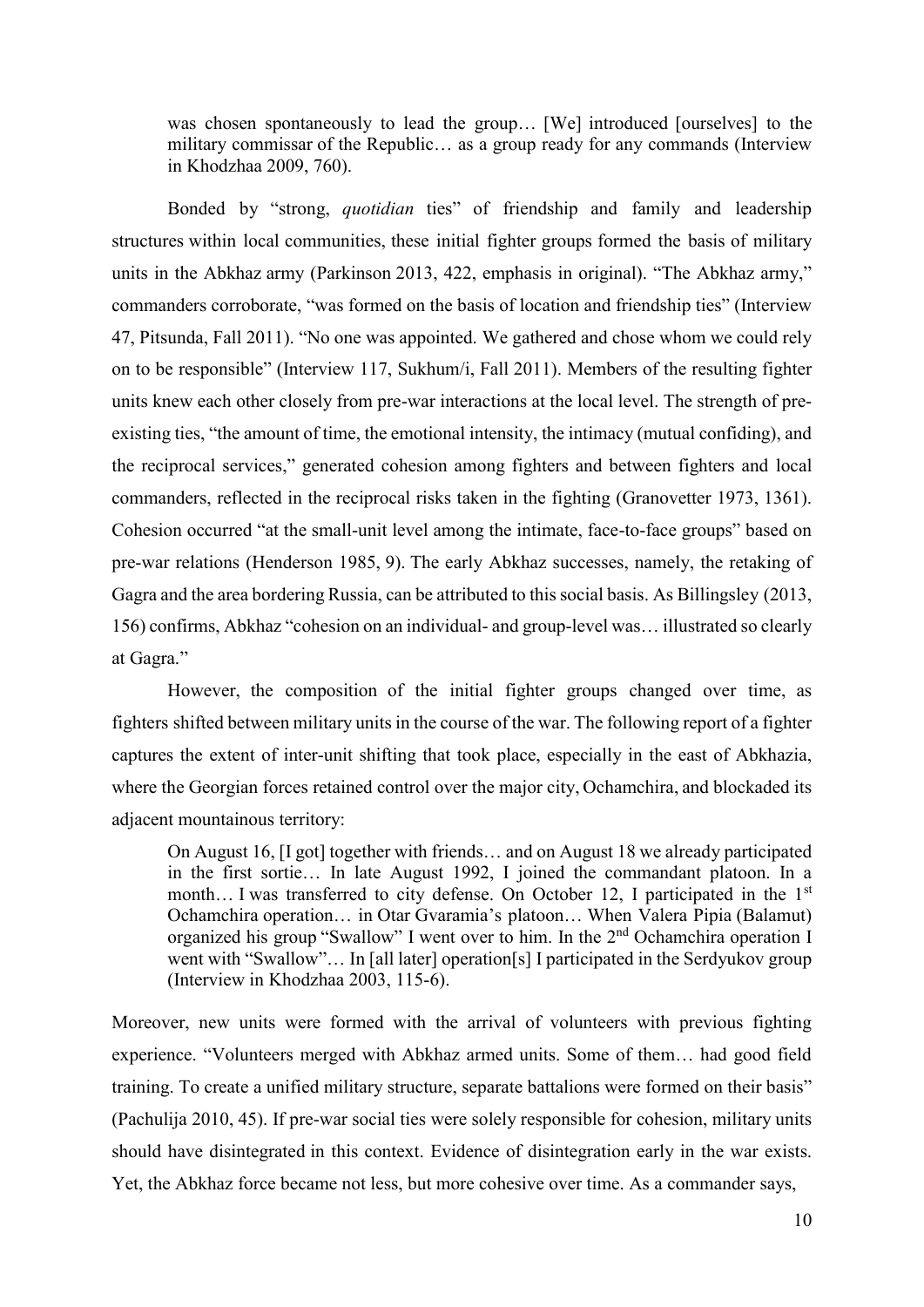was chosen spontaneously to lead the group… [We] introduced [ourselves] to the military commissar of the Republic… as a group ready for any commands (Interview in Khodzhaa 2009, 760).

Bonded by "strong, *quotidian* ties" of friendship and family and leadership structures within local communities, these initial fighter groups formed the basis of military units in the Abkhaz army (Parkinson 2013, 422, emphasis in original). "The Abkhaz army," commanders corroborate, "was formed on the basis of location and friendship ties" (Interview 47, Pitsunda, Fall 2011). "No one was appointed. We gathered and chose whom we could rely on to be responsible" (Interview 117, Sukhum/i, Fall 2011). Members of the resulting fighter units knew each other closely from pre-war interactions at the local level. The strength of preexisting ties, "the amount of time, the emotional intensity, the intimacy (mutual confiding), and the reciprocal services," generated cohesion among fighters and between fighters and local commanders, reflected in the reciprocal risks taken in the fighting (Granovetter 1973, 1361). Cohesion occurred "at the small-unit level among the intimate, face-to-face groups" based on pre-war relations (Henderson 1985, 9). The early Abkhaz successes, namely, the retaking of Gagra and the area bordering Russia, can be attributed to this social basis. As Billingsley (2013, 156) confirms, Abkhaz "cohesion on an individual- and group-level was… illustrated so clearly at Gagra."

However, the composition of the initial fighter groups changed over time, as fighters shifted between military units in the course of the war. The following report of a fighter captures the extent of inter-unit shifting that took place, especially in the east of Abkhazia, where the Georgian forces retained control over the major city, Ochamchira, and blockaded its adjacent mountainous territory:

On August 16, [I got] together with friends… and on August 18 we already participated in the first sortie… In late August 1992, I joined the commandant platoon. In a month... I was transferred to city defense. On October 12, I participated in the 1<sup>st</sup> Ochamchira operation… in Otar Gvaramia's platoon… When Valera Pipia (Balamut) organized his group "Swallow" I went over to him. In the 2nd Ochamchira operation I went with "Swallow"... In [all later] operation[s] I participated in the Serdyukov group (Interview in Khodzhaa 2003, 115-6).

Moreover, new units were formed with the arrival of volunteers with previous fighting experience. "Volunteers merged with Abkhaz armed units. Some of them… had good field training. To create a unified military structure, separate battalions were formed on their basis" (Pachulija 2010, 45). If pre-war social ties were solely responsible for cohesion, military units should have disintegrated in this context. Evidence of disintegration early in the war exists. Yet, the Abkhaz force became not less, but more cohesive over time. As a commander says,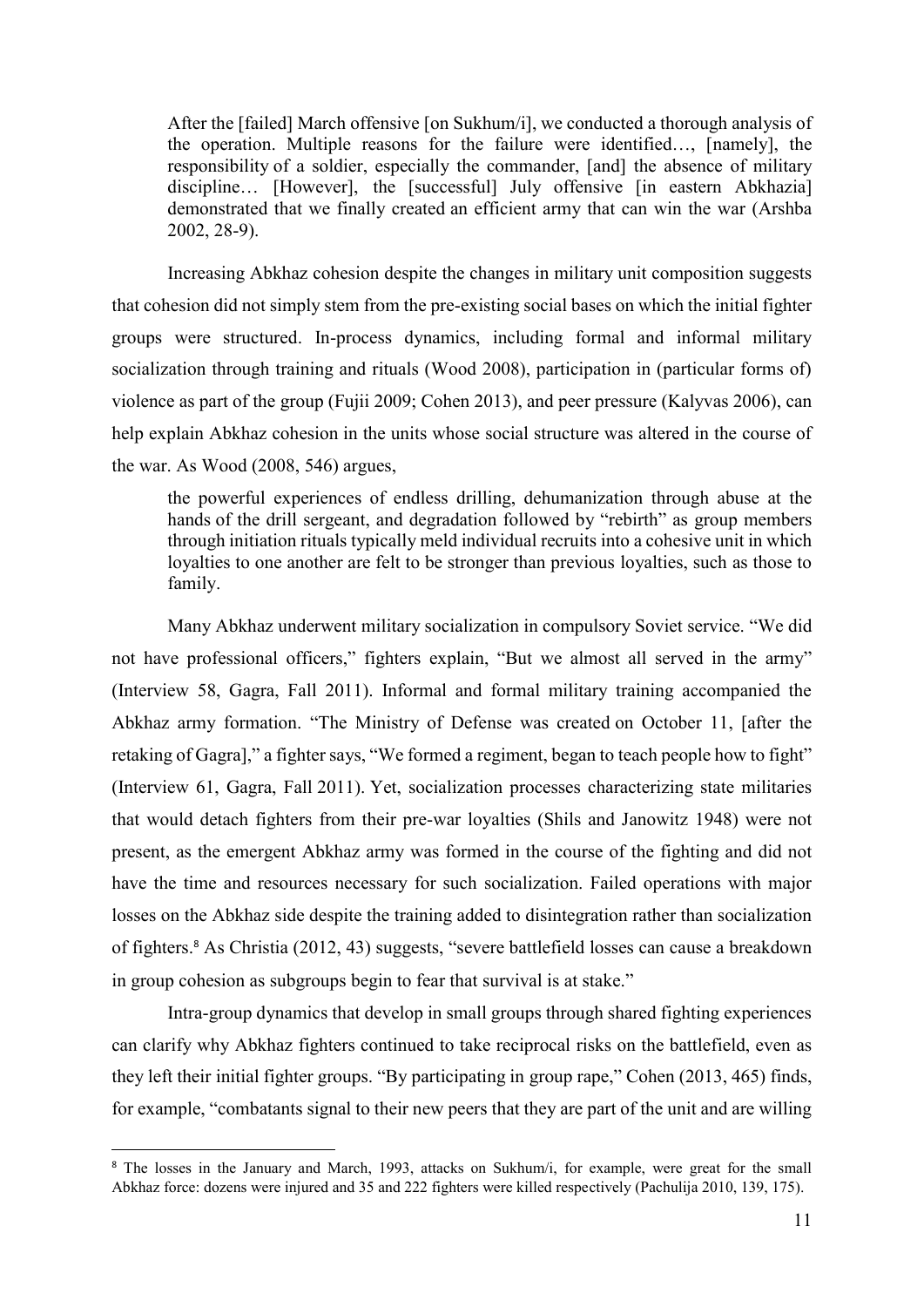After the [failed] March offensive [on Sukhum/i], we conducted a thorough analysis of the operation. Multiple reasons for the failure were identified…, [namely], the responsibility of a soldier, especially the commander, [and] the absence of military discipline… [However], the [successful] July offensive [in eastern Abkhazia] demonstrated that we finally created an efficient army that can win the war (Arshba 2002, 28-9).

Increasing Abkhaz cohesion despite the changes in military unit composition suggests that cohesion did not simply stem from the pre-existing social bases on which the initial fighter groups were structured. In-process dynamics, including formal and informal military socialization through training and rituals (Wood 2008), participation in (particular forms of) violence as part of the group (Fujii 2009; Cohen 2013), and peer pressure (Kalyvas 2006), can help explain Abkhaz cohesion in the units whose social structure was altered in the course of the war. As Wood (2008, 546) argues,

the powerful experiences of endless drilling, dehumanization through abuse at the hands of the drill sergeant, and degradation followed by "rebirth" as group members through initiation rituals typically meld individual recruits into a cohesive unit in which loyalties to one another are felt to be stronger than previous loyalties, such as those to family.

Many Abkhaz underwent military socialization in compulsory Soviet service. "We did not have professional officers," fighters explain, "But we almost all served in the army" (Interview 58, Gagra, Fall 2011). Informal and formal military training accompanied the Abkhaz army formation. "The Ministry of Defense was created on October 11, [after the retaking of Gagra]," a fighter says, "We formed a regiment, began to teach people how to fight" (Interview 61, Gagra, Fall 2011). Yet, socialization processes characterizing state militaries that would detach fighters from their pre-war loyalties (Shils and Janowitz 1948) were not present, as the emergent Abkhaz army was formed in the course of the fighting and did not have the time and resources necessary for such socialization. Failed operations with major losses on the Abkhaz side despite the training added to disintegration rather than socialization of fighters.<sup>8</sup> As Christia (2012, 43) suggests, "severe battlefield losses can cause a breakdown in group cohesion as subgroups begin to fear that survival is at stake."

Intra-group dynamics that develop in small groups through shared fighting experiences can clarify why Abkhaz fighters continued to take reciprocal risks on the battlefield, even as they left their initial fighter groups. "By participating in group rape," Cohen (2013, 465) finds, for example, "combatants signal to their new peers that they are part of the unit and are willing

<sup>&</sup>lt;sup>8</sup> The losses in the January and March, 1993, attacks on Sukhum/i, for example, were great for the small Abkhaz force: dozens were injured and 35 and 222 fighters were killed respectively (Pachulija 2010, 139, 175).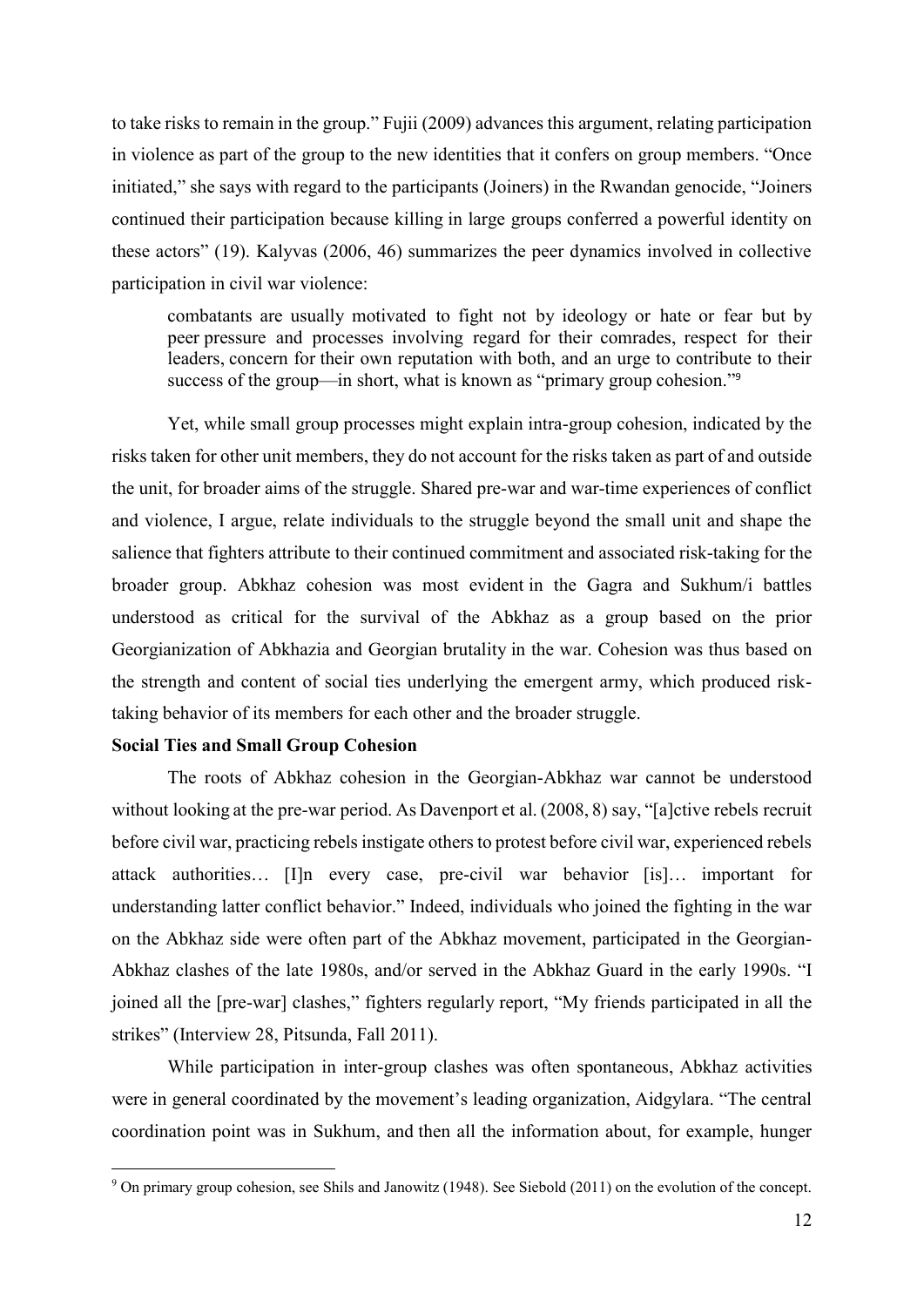to take risks to remain in the group." Fujii (2009) advances this argument, relating participation in violence as part of the group to the new identities that it confers on group members. "Once initiated," she says with regard to the participants (Joiners) in the Rwandan genocide, "Joiners continued their participation because killing in large groups conferred a powerful identity on these actors" (19). Kalyvas (2006, 46) summarizes the peer dynamics involved in collective participation in civil war violence:

combatants are usually motivated to fight not by ideology or hate or fear but by peer pressure and processes involving regard for their comrades, respect for their leaders, concern for their own reputation with both, and an urge to contribute to their success of the group—in short, what is known as "primary group cohesion."<sup>9</sup>

Yet, while small group processes might explain intra-group cohesion, indicated by the risks taken for other unit members, they do not account for the risks taken as part of and outside the unit, for broader aims of the struggle. Shared pre-war and war-time experiences of conflict and violence, I argue, relate individuals to the struggle beyond the small unit and shape the salience that fighters attribute to their continued commitment and associated risk-taking for the broader group. Abkhaz cohesion was most evident in the Gagra and Sukhum/i battles understood as critical for the survival of the Abkhaz as a group based on the prior Georgianization of Abkhazia and Georgian brutality in the war. Cohesion was thus based on the strength and content of social ties underlying the emergent army, which produced risktaking behavior of its members for each other and the broader struggle.

#### **Social Ties and Small Group Cohesion**

The roots of Abkhaz cohesion in the Georgian-Abkhaz war cannot be understood without looking at the pre-war period. As Davenport et al. (2008, 8) say, "[a]ctive rebels recruit before civil war, practicing rebels instigate others to protest before civil war, experienced rebels attack authorities… [I]n every case, pre-civil war behavior [is]… important for understanding latter conflict behavior." Indeed, individuals who joined the fighting in the war on the Abkhaz side were often part of the Abkhaz movement, participated in the Georgian-Abkhaz clashes of the late 1980s, and/or served in the Abkhaz Guard in the early 1990s. "I joined all the [pre-war] clashes," fighters regularly report, "My friends participated in all the strikes" (Interview 28, Pitsunda, Fall 2011).

While participation in inter-group clashes was often spontaneous, Abkhaz activities were in general coordinated by the movement's leading organization, Aidgylara. "The central coordination point was in Sukhum, and then all the information about, for example, hunger

<sup>9</sup> On primary group cohesion, see Shils and Janowitz (1948). See Siebold (2011) on the evolution of the concept.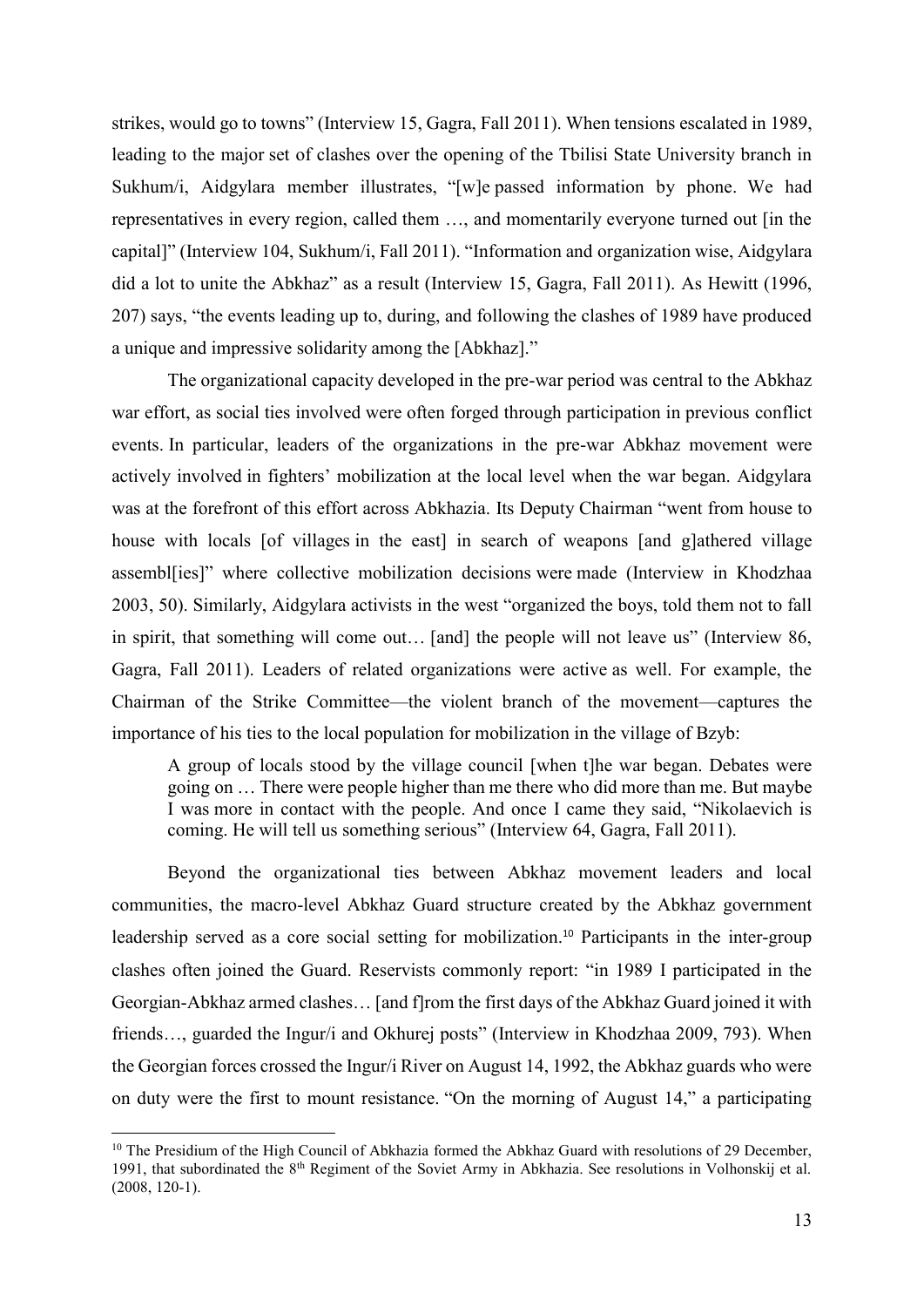strikes, would go to towns" (Interview 15, Gagra, Fall 2011). When tensions escalated in 1989, leading to the major set of clashes over the opening of the Tbilisi State University branch in Sukhum/i, Aidgylara member illustrates, "[w]e passed information by phone. We had representatives in every region, called them …, and momentarily everyone turned out [in the capital]" (Interview 104, Sukhum/i, Fall 2011). "Information and organization wise, Aidgylara did a lot to unite the Abkhaz" as a result (Interview 15, Gagra, Fall 2011). As Hewitt (1996, 207) says, "the events leading up to, during, and following the clashes of 1989 have produced a unique and impressive solidarity among the [Abkhaz]."

The organizational capacity developed in the pre-war period was central to the Abkhaz war effort, as social ties involved were often forged through participation in previous conflict events. In particular, leaders of the organizations in the pre-war Abkhaz movement were actively involved in fighters' mobilization at the local level when the war began. Aidgylara was at the forefront of this effort across Abkhazia. Its Deputy Chairman "went from house to house with locals [of villages in the east] in search of weapons [and g]athered village assembl[ies]" where collective mobilization decisions were made (Interview in Khodzhaa 2003, 50). Similarly, Aidgylara activists in the west "organized the boys, told them not to fall in spirit, that something will come out… [and] the people will not leave us" (Interview 86, Gagra, Fall 2011). Leaders of related organizations were active as well. For example, the Chairman of the Strike Committee—the violent branch of the movement—captures the importance of his ties to the local population for mobilization in the village of Bzyb:

A group of locals stood by the village council [when t]he war began. Debates were going on … There were people higher than me there who did more than me. But maybe I was more in contact with the people. And once I came they said, "Nikolaevich is coming. He will tell us something serious" (Interview 64, Gagra, Fall 2011).

Beyond the organizational ties between Abkhaz movement leaders and local communities, the macro-level Abkhaz Guard structure created by the Abkhaz government leadership served as a core social setting for mobilization.<sup>10</sup> Participants in the inter-group clashes often joined the Guard. Reservists commonly report: "in 1989 I participated in the Georgian-Abkhaz armed clashes… [and f]rom the first days of the Abkhaz Guard joined it with friends..., guarded the Ingur/i and Okhurej posts" (Interview in Khodzhaa 2009, 793). When the Georgian forces crossed the Ingur/i River on August 14, 1992, the Abkhaz guards who were on duty were the first to mount resistance. "On the morning of August 14," a participating

<sup>&</sup>lt;sup>10</sup> The Presidium of the High Council of Abkhazia formed the Abkhaz Guard with resolutions of 29 December 1991, that subordinated the 8<sup>th</sup> Regiment of the Soviet Army in Abkhazia. See resolutions in Volhonskij et al. (2008, 120-1).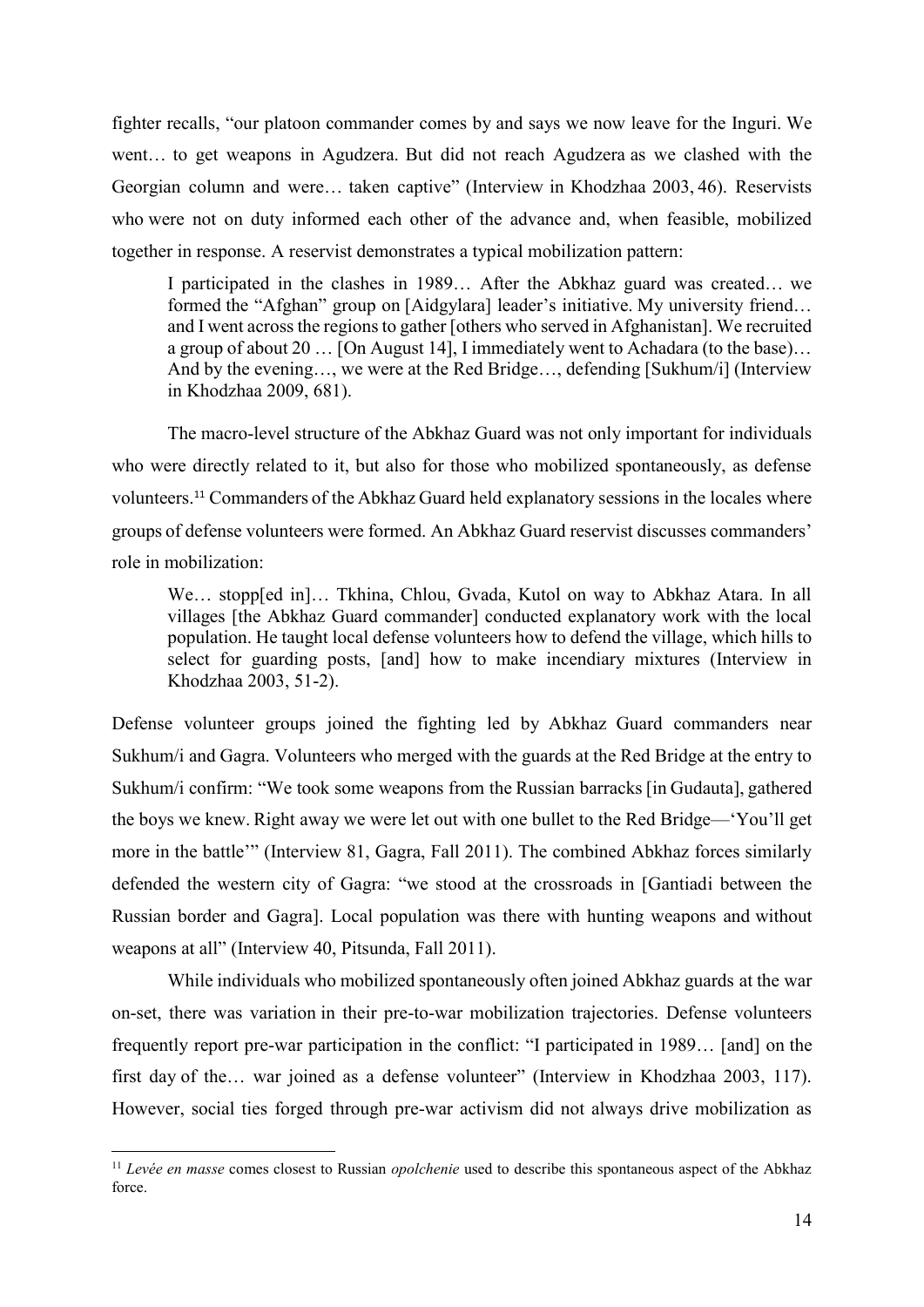fighter recalls, "our platoon commander comes by and says we now leave for the Inguri. We went… to get weapons in Agudzera. But did not reach Agudzera as we clashed with the Georgian column and were… taken captive" (Interview in Khodzhaa 2003, 46). Reservists who were not on duty informed each other of the advance and, when feasible, mobilized together in response. A reservist demonstrates a typical mobilization pattern:

I participated in the clashes in 1989… After the Abkhaz guard was created… we formed the "Afghan" group on [Aidgylara] leader's initiative. My university friend… and I went acrossthe regions to gather [others who served in Afghanistan]. We recruited a group of about 20 … [On August 14], I immediately went to Achadara (to the base)… And by the evening…, we were at the Red Bridge…, defending [Sukhum/i] (Interview in Khodzhaa 2009, 681).

The macro-level structure of the Abkhaz Guard was not only important for individuals who were directly related to it, but also for those who mobilized spontaneously, as defense volunteers.<sup>11</sup> Commanders of the Abkhaz Guard held explanatory sessions in the locales where groups of defense volunteers were formed. An Abkhaz Guard reservist discusses commanders' role in mobilization:

We... stopp[ed in]... Tkhina, Chlou, Gvada, Kutol on way to Abkhaz Atara. In all villages [the Abkhaz Guard commander] conducted explanatory work with the local population. He taught local defense volunteers how to defend the village, which hills to select for guarding posts, [and] how to make incendiary mixtures (Interview in Khodzhaa 2003, 51-2).

Defense volunteer groups joined the fighting led by Abkhaz Guard commanders near Sukhum/i and Gagra. Volunteers who merged with the guards at the Red Bridge at the entry to Sukhum/i confirm: "We took some weapons from the Russian barracks [in Gudauta], gathered the boys we knew. Right away we were let out with one bullet to the Red Bridge—'You'll get more in the battle'" (Interview 81, Gagra, Fall 2011). The combined Abkhaz forces similarly defended the western city of Gagra: "we stood at the crossroads in [Gantiadi between the Russian border and Gagra]. Local population was there with hunting weapons and without weapons at all" (Interview 40, Pitsunda, Fall 2011).

While individuals who mobilized spontaneously often joined Abkhaz guards at the war on-set, there was variation in their pre-to-war mobilization trajectories. Defense volunteers frequently report pre-war participation in the conflict: "I participated in 1989… [and] on the first day of the… war joined as a defense volunteer" (Interview in Khodzhaa 2003, 117). However, social ties forged through pre-war activism did not always drive mobilization as

<sup>&</sup>lt;sup>11</sup> *Levée en masse* comes closest to Russian *opolchenie* used to describe this spontaneous aspect of the Abkhaz force.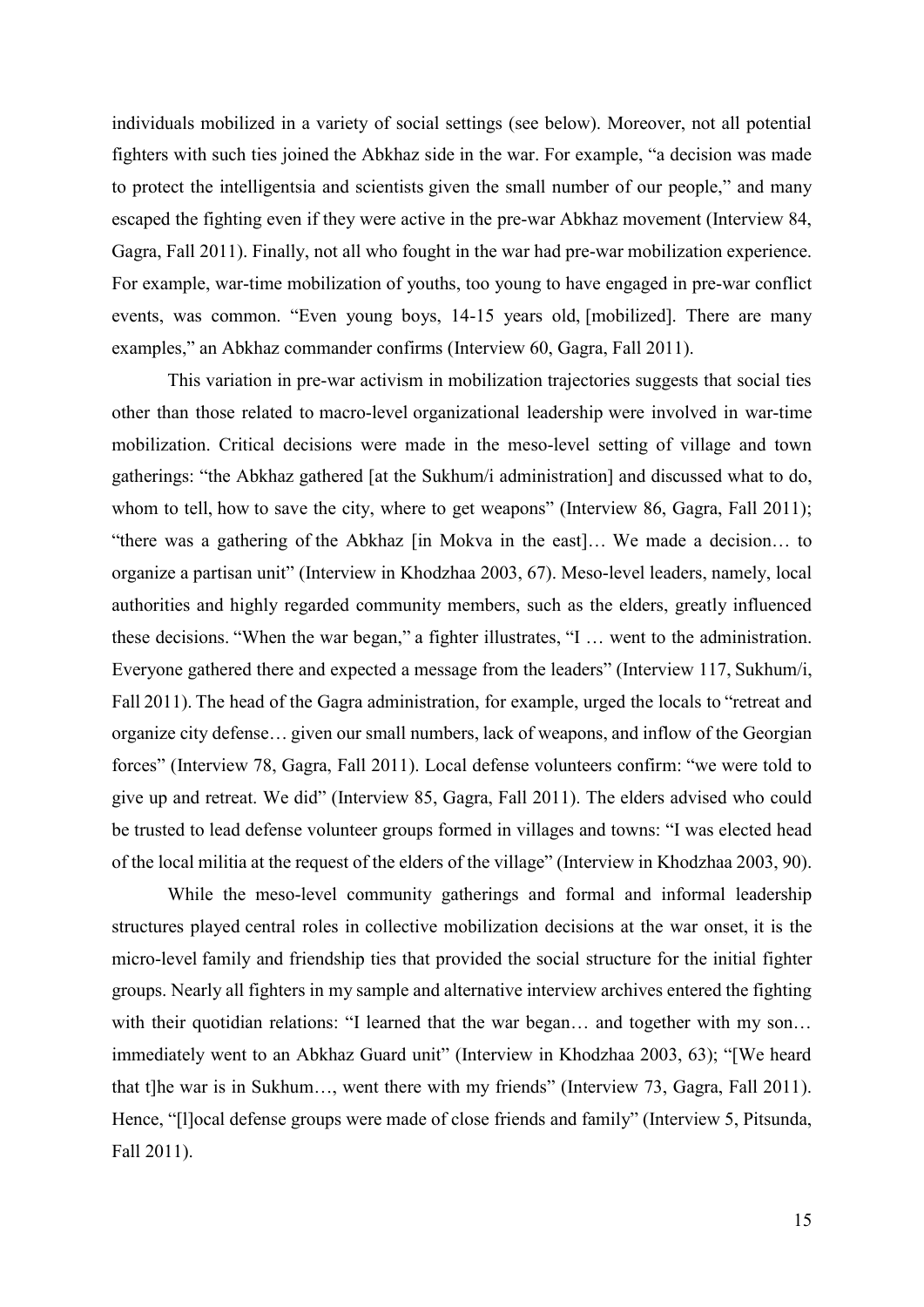individuals mobilized in a variety of social settings (see below). Moreover, not all potential fighters with such ties joined the Abkhaz side in the war. For example, "a decision was made to protect the intelligentsia and scientists given the small number of our people," and many escaped the fighting even if they were active in the pre-war Abkhaz movement (Interview 84, Gagra, Fall 2011). Finally, not all who fought in the war had pre-war mobilization experience. For example, war-time mobilization of youths, too young to have engaged in pre-war conflict events, was common. "Even young boys, 14-15 years old, [mobilized]. There are many examples," an Abkhaz commander confirms (Interview 60, Gagra, Fall 2011).

This variation in pre-war activism in mobilization trajectories suggests that social ties other than those related to macro-level organizational leadership were involved in war-time mobilization. Critical decisions were made in the meso-level setting of village and town gatherings: "the Abkhaz gathered [at the Sukhum/i administration] and discussed what to do, whom to tell, how to save the city, where to get weapons" (Interview 86, Gagra, Fall 2011); "there was a gathering of the Abkhaz [in Mokva in the east]… We made a decision… to organize a partisan unit" (Interview in Khodzhaa 2003, 67). Meso-level leaders, namely, local authorities and highly regarded community members, such as the elders, greatly influenced these decisions. "When the war began," a fighter illustrates, "I … went to the administration. Everyone gathered there and expected a message from the leaders" (Interview 117, Sukhum/i, Fall 2011). The head of the Gagra administration, for example, urged the locals to "retreat and organize city defense… given our small numbers, lack of weapons, and inflow of the Georgian forces" (Interview 78, Gagra, Fall 2011). Local defense volunteers confirm: "we were told to give up and retreat. We did" (Interview 85, Gagra, Fall 2011). The elders advised who could be trusted to lead defense volunteer groups formed in villages and towns: "I was elected head of the local militia at the request of the elders of the village" (Interview in Khodzhaa 2003, 90).

While the meso-level community gatherings and formal and informal leadership structures played central roles in collective mobilization decisions at the war onset, it is the micro-level family and friendship ties that provided the social structure for the initial fighter groups. Nearly all fighters in my sample and alternative interview archives entered the fighting with their quotidian relations: "I learned that the war began... and together with my son... immediately went to an Abkhaz Guard unit" (Interview in Khodzhaa 2003, 63); "[We heard that t]he war is in Sukhum…, went there with my friends" (Interview 73, Gagra, Fall 2011). Hence, "[l]ocal defense groups were made of close friends and family" (Interview 5, Pitsunda, Fall 2011).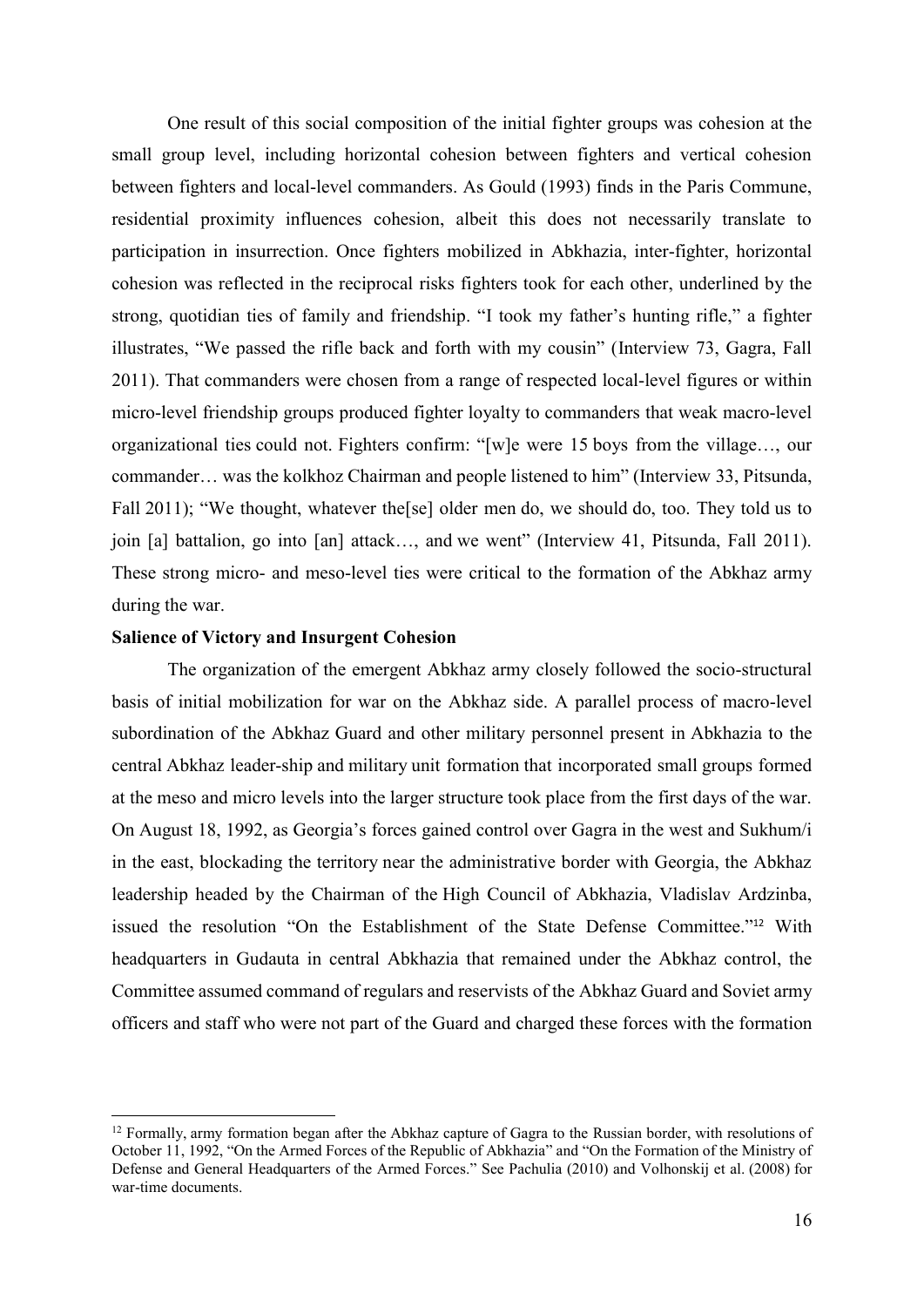One result of this social composition of the initial fighter groups was cohesion at the small group level, including horizontal cohesion between fighters and vertical cohesion between fighters and local-level commanders. As Gould (1993) finds in the Paris Commune, residential proximity influences cohesion, albeit this does not necessarily translate to participation in insurrection. Once fighters mobilized in Abkhazia, inter-fighter, horizontal cohesion was reflected in the reciprocal risks fighters took for each other, underlined by the strong, quotidian ties of family and friendship. "I took my father's hunting rifle," a fighter illustrates, "We passed the rifle back and forth with my cousin" (Interview 73, Gagra, Fall 2011). That commanders were chosen from a range of respected local-level figures or within micro-level friendship groups produced fighter loyalty to commanders that weak macro-level organizational ties could not. Fighters confirm: "[w]e were 15 boys from the village…, our commander… was the kolkhoz Chairman and people listened to him" (Interview 33, Pitsunda, Fall 2011); "We thought, whatever the [se] older men do, we should do, too. They told us to join [a] battalion, go into [an] attack…, and we went" (Interview 41, Pitsunda, Fall 2011). These strong micro- and meso-level ties were critical to the formation of the Abkhaz army during the war.

#### **Salience of Victory and Insurgent Cohesion**

The organization of the emergent Abkhaz army closely followed the socio-structural basis of initial mobilization for war on the Abkhaz side. A parallel process of macro-level subordination of the Abkhaz Guard and other military personnel present in Abkhazia to the central Abkhaz leader-ship and military unit formation that incorporated small groups formed at the meso and micro levels into the larger structure took place from the first days of the war. On August 18, 1992, as Georgia's forces gained control over Gagra in the west and Sukhum/i in the east, blockading the territory near the administrative border with Georgia, the Abkhaz leadership headed by the Chairman of the High Council of Abkhazia, Vladislav Ardzinba, issued the resolution "On the Establishment of the State Defense Committee."<sup>12</sup> With headquarters in Gudauta in central Abkhazia that remained under the Abkhaz control, the Committee assumed command of regulars and reservists of the Abkhaz Guard and Soviet army officers and staff who were not part of the Guard and charged these forces with the formation

<sup>&</sup>lt;sup>12</sup> Formally, army formation began after the Abkhaz capture of Gagra to the Russian border, with resolutions of October 11, 1992, "On the Armed Forces of the Republic of Abkhazia" and "On the Formation of the Ministry of Defense and General Headquarters of the Armed Forces." See Pachulia (2010) and Volhonskij et al. (2008) for war-time documents.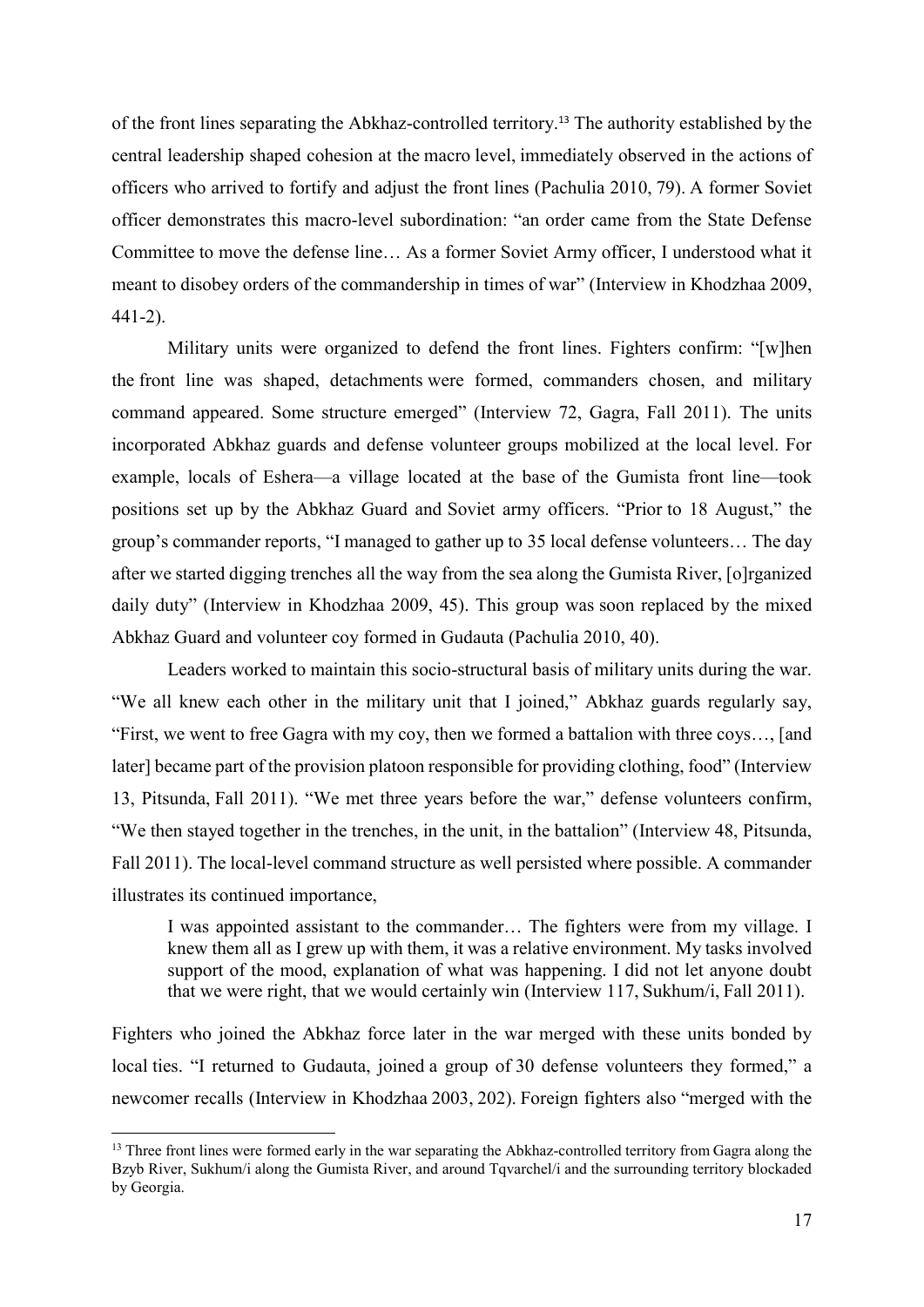of the front lines separating the Abkhaz-controlled territory.<sup>13</sup> The authority established by the central leadership shaped cohesion at the macro level, immediately observed in the actions of officers who arrived to fortify and adjust the front lines (Pachulia 2010, 79). A former Soviet officer demonstrates this macro-level subordination: "an order came from the State Defense Committee to move the defense line… As a former Soviet Army officer, I understood what it meant to disobey orders of the commandership in times of war" (Interview in Khodzhaa 2009, 441-2).

Military units were organized to defend the front lines. Fighters confirm: "[w]hen the front line was shaped, detachments were formed, commanders chosen, and military command appeared. Some structure emerged" (Interview 72, Gagra, Fall 2011). The units incorporated Abkhaz guards and defense volunteer groups mobilized at the local level. For example, locals of Eshera—a village located at the base of the Gumista front line—took positions set up by the Abkhaz Guard and Soviet army officers. "Prior to 18 August," the group's commander reports, "I managed to gather up to 35 local defense volunteers… The day after we started digging trenches all the way from the sea along the Gumista River, [o]rganized daily duty" (Interview in Khodzhaa 2009, 45). This group was soon replaced by the mixed Abkhaz Guard and volunteer coy formed in Gudauta (Pachulia 2010, 40).

Leaders worked to maintain this socio-structural basis of military units during the war. "We all knew each other in the military unit that I joined," Abkhaz guards regularly say, "First, we went to free Gagra with my coy, then we formed a battalion with three coys…, [and later] became part of the provision platoon responsible for providing clothing, food" (Interview 13, Pitsunda, Fall 2011). "We met three years before the war," defense volunteers confirm, "We then stayed together in the trenches, in the unit, in the battalion" (Interview 48, Pitsunda, Fall 2011). The local-level command structure as well persisted where possible. A commander illustrates its continued importance,

I was appointed assistant to the commander… The fighters were from my village. I knew them all as I grew up with them, it was a relative environment. My tasks involved support of the mood, explanation of what was happening. I did not let anyone doubt that we were right, that we would certainly win (Interview 117, Sukhum/i, Fall 2011).

Fighters who joined the Abkhaz force later in the war merged with these units bonded by local ties. "I returned to Gudauta, joined a group of 30 defense volunteers they formed," a newcomer recalls (Interview in Khodzhaa 2003, 202). Foreign fighters also "merged with the

<sup>&</sup>lt;sup>13</sup> Three front lines were formed early in the war separating the Abkhaz-controlled territory from Gagra along the Bzyb River, Sukhum/i along the Gumista River, and around Tqvarchel/i and the surrounding territory blockaded by Georgia.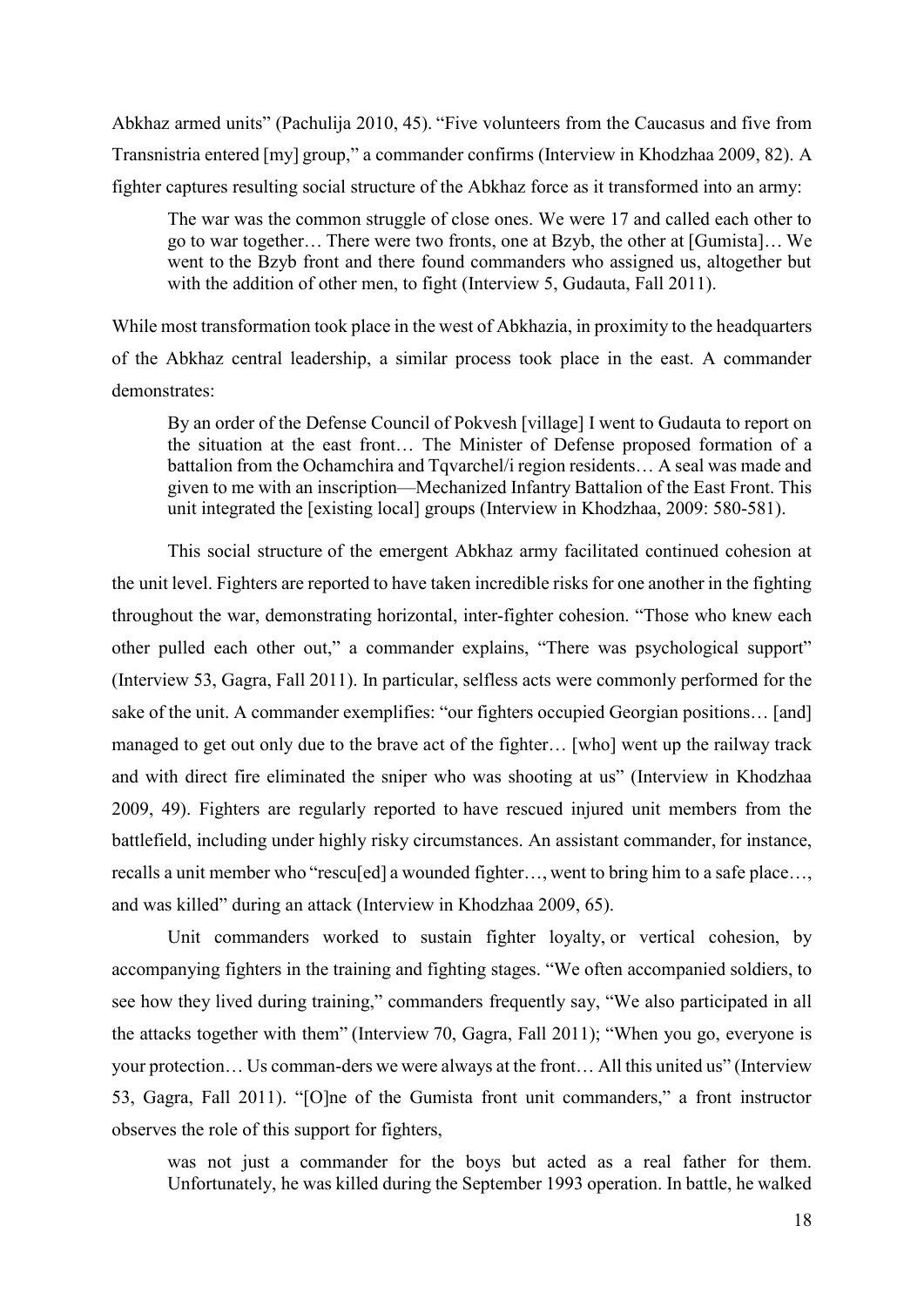Abkhaz armed units" (Pachulija 2010, 45). "Five volunteers from the Caucasus and five from Transnistria entered [my] group," a commander confirms (Interview in Khodzhaa 2009, 82). A fighter captures resulting social structure of the Abkhaz force as it transformed into an army:

The war was the common struggle of close ones. We were 17 and called each other to go to war together… There were two fronts, one at Bzyb, the other at [Gumista]… We went to the Bzyb front and there found commanders who assigned us, altogether but with the addition of other men, to fight (Interview 5, Gudauta, Fall 2011).

While most transformation took place in the west of Abkhazia, in proximity to the headquarters of the Abkhaz central leadership, a similar process took place in the east. A commander demonstrates:

By an order of the Defense Council of Pokvesh [village] I went to Gudauta to report on the situation at the east front… The Minister of Defense proposed formation of a battalion from the Ochamchira and Tqvarchel/i region residents… A seal was made and given to me with an inscription—Mechanized Infantry Battalion of the East Front. This unit integrated the [existing local] groups (Interview in Khodzhaa, 2009: 580-581).

This social structure of the emergent Abkhaz army facilitated continued cohesion at the unit level. Fighters are reported to have taken incredible risks for one another in the fighting throughout the war, demonstrating horizontal, inter-fighter cohesion. "Those who knew each other pulled each other out," a commander explains, "There was psychological support" (Interview 53, Gagra, Fall 2011). In particular, selfless acts were commonly performed for the sake of the unit. A commander exemplifies: "our fighters occupied Georgian positions… [and] managed to get out only due to the brave act of the fighter… [who] went up the railway track and with direct fire eliminated the sniper who was shooting at us" (Interview in Khodzhaa 2009, 49). Fighters are regularly reported to have rescued injured unit members from the battlefield, including under highly risky circumstances. An assistant commander, for instance, recalls a unit member who "rescu[ed] a wounded fighter…, went to bring him to a safe place…, and was killed" during an attack (Interview in Khodzhaa 2009, 65).

Unit commanders worked to sustain fighter loyalty, or vertical cohesion, by accompanying fighters in the training and fighting stages. "We often accompanied soldiers, to see how they lived during training," commanders frequently say, "We also participated in all the attacks together with them" (Interview 70, Gagra, Fall 2011); "When you go, everyone is your protection… Us comman-ders we were always at the front… All this united us" (Interview 53, Gagra, Fall 2011). "[O]ne of the Gumista front unit commanders," a front instructor observes the role of this support for fighters,

was not just a commander for the boys but acted as a real father for them. Unfortunately, he was killed during the September 1993 operation. In battle, he walked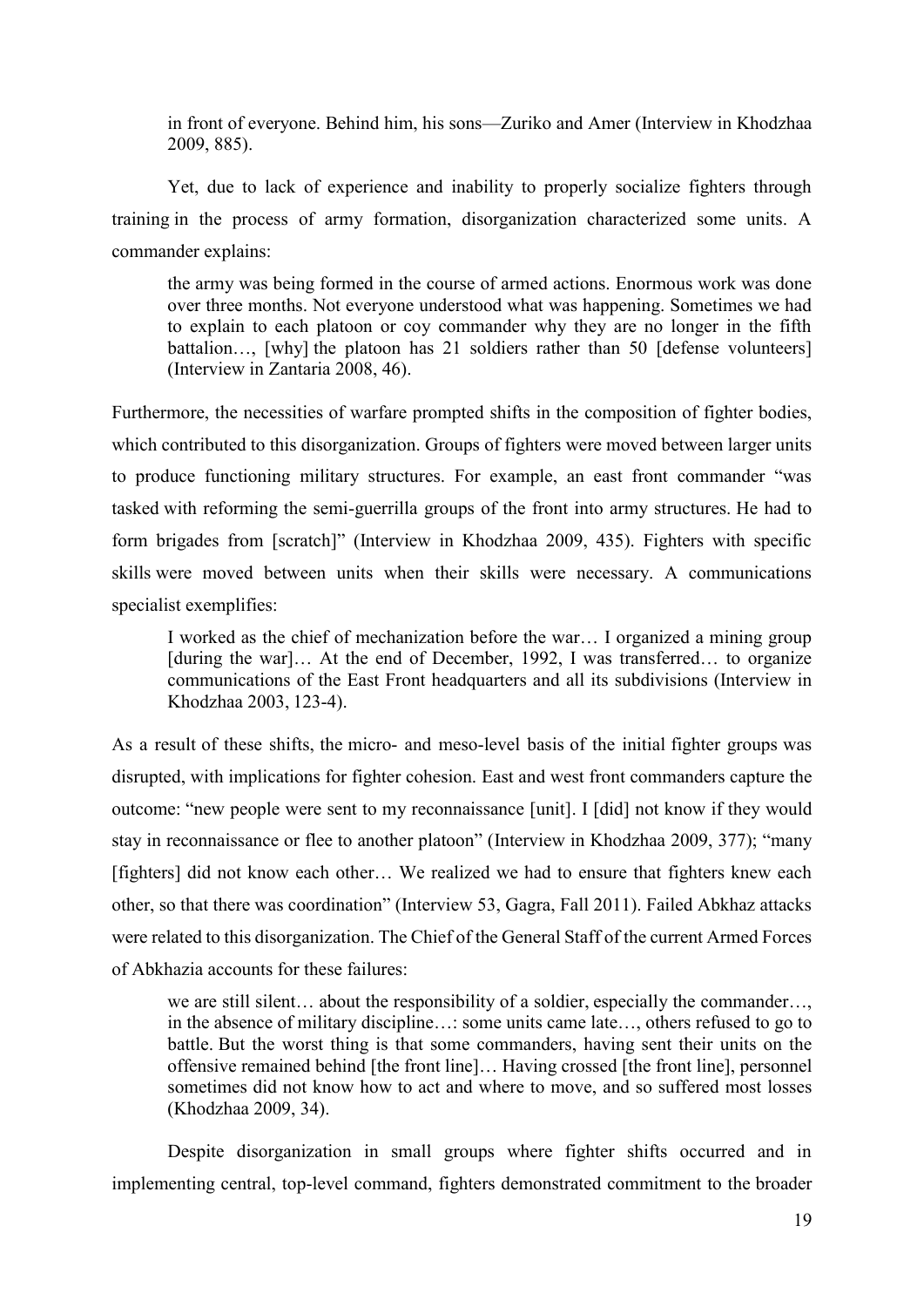in front of everyone. Behind him, his sons—Zuriko and Amer (Interview in Khodzhaa 2009, 885).

Yet, due to lack of experience and inability to properly socialize fighters through training in the process of army formation, disorganization characterized some units. A commander explains:

the army was being formed in the course of armed actions. Enormous work was done over three months. Not everyone understood what was happening. Sometimes we had to explain to each platoon or coy commander why they are no longer in the fifth battalion…, [why] the platoon has 21 soldiers rather than 50 [defense volunteers] (Interview in Zantaria 2008, 46).

Furthermore, the necessities of warfare prompted shifts in the composition of fighter bodies, which contributed to this disorganization. Groups of fighters were moved between larger units to produce functioning military structures. For example, an east front commander "was tasked with reforming the semi-guerrilla groups of the front into army structures. He had to form brigades from [scratch]" (Interview in Khodzhaa 2009, 435). Fighters with specific skills were moved between units when their skills were necessary. A communications specialist exemplifies:

I worked as the chief of mechanization before the war… I organized a mining group [during the war]... At the end of December, 1992, I was transferred... to organize communications of the East Front headquarters and all its subdivisions (Interview in Khodzhaa 2003, 123-4).

As a result of these shifts, the micro- and meso-level basis of the initial fighter groups was disrupted, with implications for fighter cohesion. East and west front commanders capture the outcome: "new people were sent to my reconnaissance [unit]. I [did] not know if they would stay in reconnaissance or flee to another platoon" (Interview in Khodzhaa 2009, 377); "many [fighters] did not know each other… We realized we had to ensure that fighters knew each other, so that there was coordination" (Interview 53, Gagra, Fall 2011). Failed Abkhaz attacks were related to this disorganization. The Chief of the General Staff of the current Armed Forces of Abkhazia accounts for these failures:

we are still silent… about the responsibility of a soldier, especially the commander…, in the absence of military discipline…: some units came late…, others refused to go to battle. But the worst thing is that some commanders, having sent their units on the offensive remained behind [the front line]… Having crossed [the front line], personnel sometimes did not know how to act and where to move, and so suffered most losses (Khodzhaa 2009, 34).

Despite disorganization in small groups where fighter shifts occurred and in implementing central, top-level command, fighters demonstrated commitment to the broader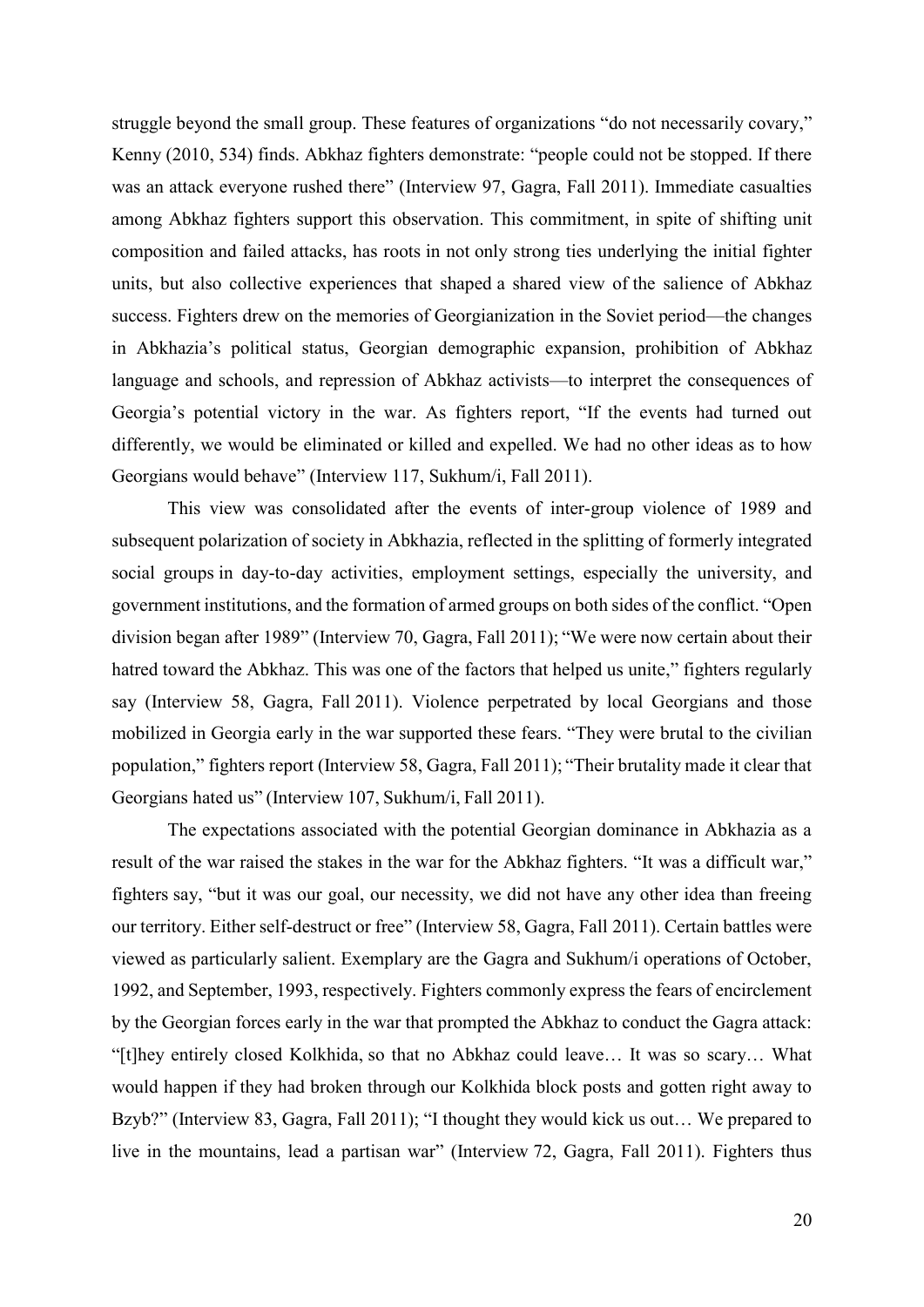struggle beyond the small group. These features of organizations "do not necessarily covary," Kenny (2010, 534) finds. Abkhaz fighters demonstrate: "people could not be stopped. If there was an attack everyone rushed there" (Interview 97, Gagra, Fall 2011). Immediate casualties among Abkhaz fighters support this observation. This commitment, in spite of shifting unit composition and failed attacks, has roots in not only strong ties underlying the initial fighter units, but also collective experiences that shaped a shared view of the salience of Abkhaz success. Fighters drew on the memories of Georgianization in the Soviet period—the changes in Abkhazia's political status, Georgian demographic expansion, prohibition of Abkhaz language and schools, and repression of Abkhaz activists—to interpret the consequences of Georgia's potential victory in the war. As fighters report, "If the events had turned out differently, we would be eliminated or killed and expelled. We had no other ideas as to how Georgians would behave" (Interview 117, Sukhum/i, Fall 2011).

This view was consolidated after the events of inter-group violence of 1989 and subsequent polarization of society in Abkhazia, reflected in the splitting of formerly integrated social groups in day-to-day activities, employment settings, especially the university, and government institutions, and the formation of armed groups on both sides of the conflict. "Open division began after 1989" (Interview 70, Gagra, Fall 2011); "We were now certain about their hatred toward the Abkhaz. This was one of the factors that helped us unite," fighters regularly say (Interview 58, Gagra, Fall 2011). Violence perpetrated by local Georgians and those mobilized in Georgia early in the war supported these fears. "They were brutal to the civilian population," fighters report (Interview 58, Gagra, Fall 2011); "Their brutality made it clear that Georgians hated us" (Interview 107, Sukhum/i, Fall 2011).

The expectations associated with the potential Georgian dominance in Abkhazia as a result of the war raised the stakes in the war for the Abkhaz fighters. "It was a difficult war," fighters say, "but it was our goal, our necessity, we did not have any other idea than freeing our territory. Either self-destruct or free" (Interview 58, Gagra, Fall 2011). Certain battles were viewed as particularly salient. Exemplary are the Gagra and Sukhum/i operations of October, 1992, and September, 1993, respectively. Fighters commonly express the fears of encirclement by the Georgian forces early in the war that prompted the Abkhaz to conduct the Gagra attack: "[t]hey entirely closed Kolkhida, so that no Abkhaz could leave… It was so scary… What would happen if they had broken through our Kolkhida block posts and gotten right away to Bzyb?" (Interview 83, Gagra, Fall 2011); "I thought they would kick us out... We prepared to live in the mountains, lead a partisan war" (Interview 72, Gagra, Fall 2011). Fighters thus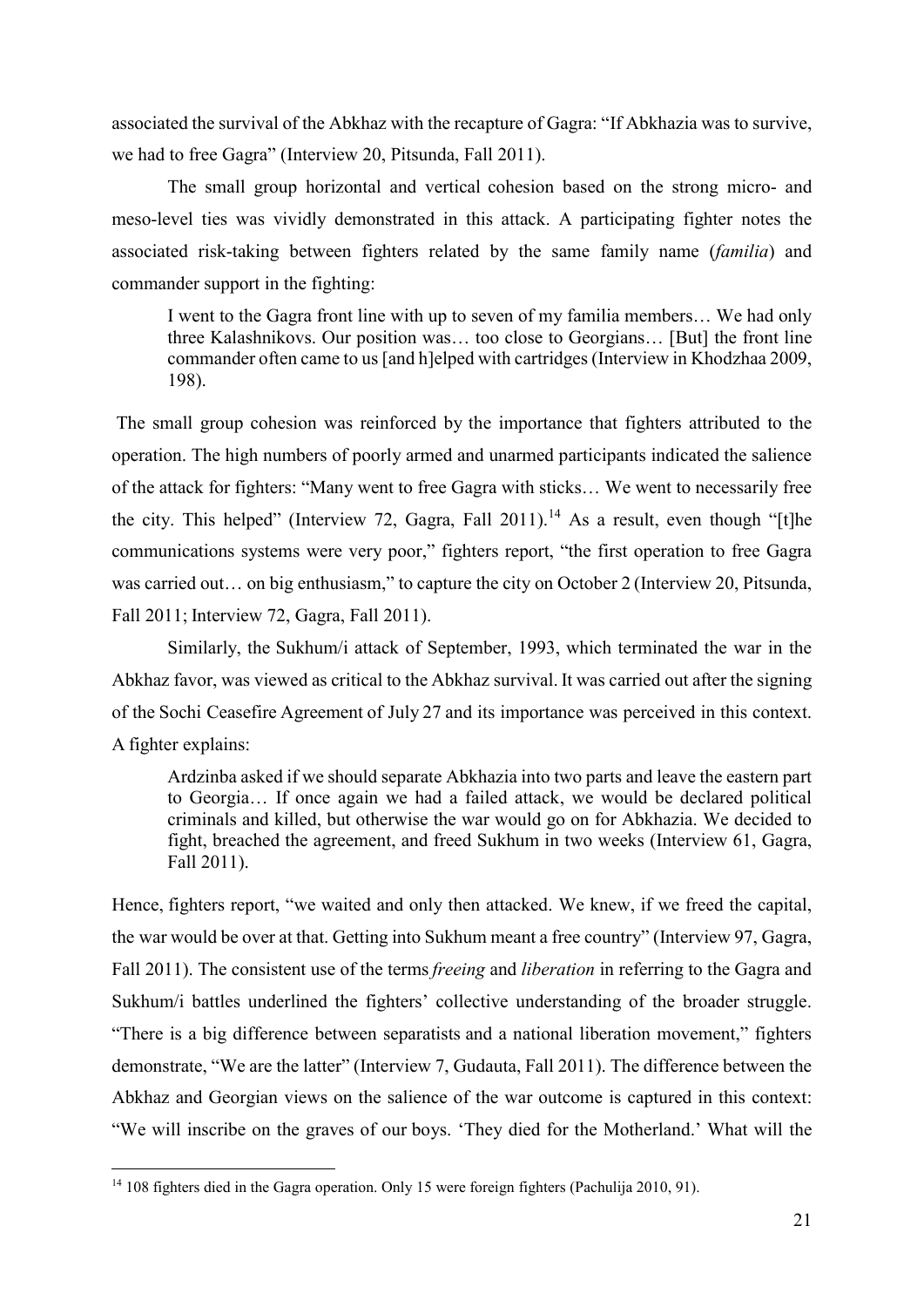associated the survival of the Abkhaz with the recapture of Gagra: "If Abkhazia was to survive, we had to free Gagra" (Interview 20, Pitsunda, Fall 2011).

The small group horizontal and vertical cohesion based on the strong micro- and meso-level ties was vividly demonstrated in this attack. A participating fighter notes the associated risk-taking between fighters related by the same family name (*familia*) and commander support in the fighting:

I went to the Gagra front line with up to seven of my familia members… We had only three Kalashnikovs. Our position was… too close to Georgians… [But] the front line commander often came to us [and h]elped with cartridges (Interview in Khodzhaa 2009, 198).

The small group cohesion was reinforced by the importance that fighters attributed to the operation. The high numbers of poorly armed and unarmed participants indicated the salience of the attack for fighters: "Many went to free Gagra with sticks… We went to necessarily free the city. This helped" (Interview 72, Gagra, Fall 2011).<sup>14</sup> As a result, even though "[t]he communications systems were very poor," fighters report, "the first operation to free Gagra was carried out… on big enthusiasm," to capture the city on October 2 (Interview 20, Pitsunda, Fall 2011; Interview 72, Gagra, Fall 2011).

Similarly, the Sukhum/i attack of September, 1993, which terminated the war in the Abkhaz favor, was viewed as critical to the Abkhaz survival. It was carried out after the signing of the Sochi Ceasefire Agreement of July 27 and its importance was perceived in this context. A fighter explains:

Ardzinba asked if we should separate Abkhazia into two parts and leave the eastern part to Georgia… If once again we had a failed attack, we would be declared political criminals and killed, but otherwise the war would go on for Abkhazia. We decided to fight, breached the agreement, and freed Sukhum in two weeks (Interview 61, Gagra, Fall 2011).

Hence, fighters report, "we waited and only then attacked. We knew, if we freed the capital, the war would be over at that. Getting into Sukhum meant a free country" (Interview 97, Gagra, Fall 2011). The consistent use of the terms*freeing* and *liberation* in referring to the Gagra and Sukhum/i battles underlined the fighters' collective understanding of the broader struggle. "There is a big difference between separatists and a national liberation movement," fighters demonstrate, "We are the latter" (Interview 7, Gudauta, Fall 2011). The difference between the Abkhaz and Georgian views on the salience of the war outcome is captured in this context: "We will inscribe on the graves of our boys. 'They died for the Motherland.' What will the

<sup>&</sup>lt;sup>14</sup> 108 fighters died in the Gagra operation. Only 15 were foreign fighters (Pachulija 2010, 91).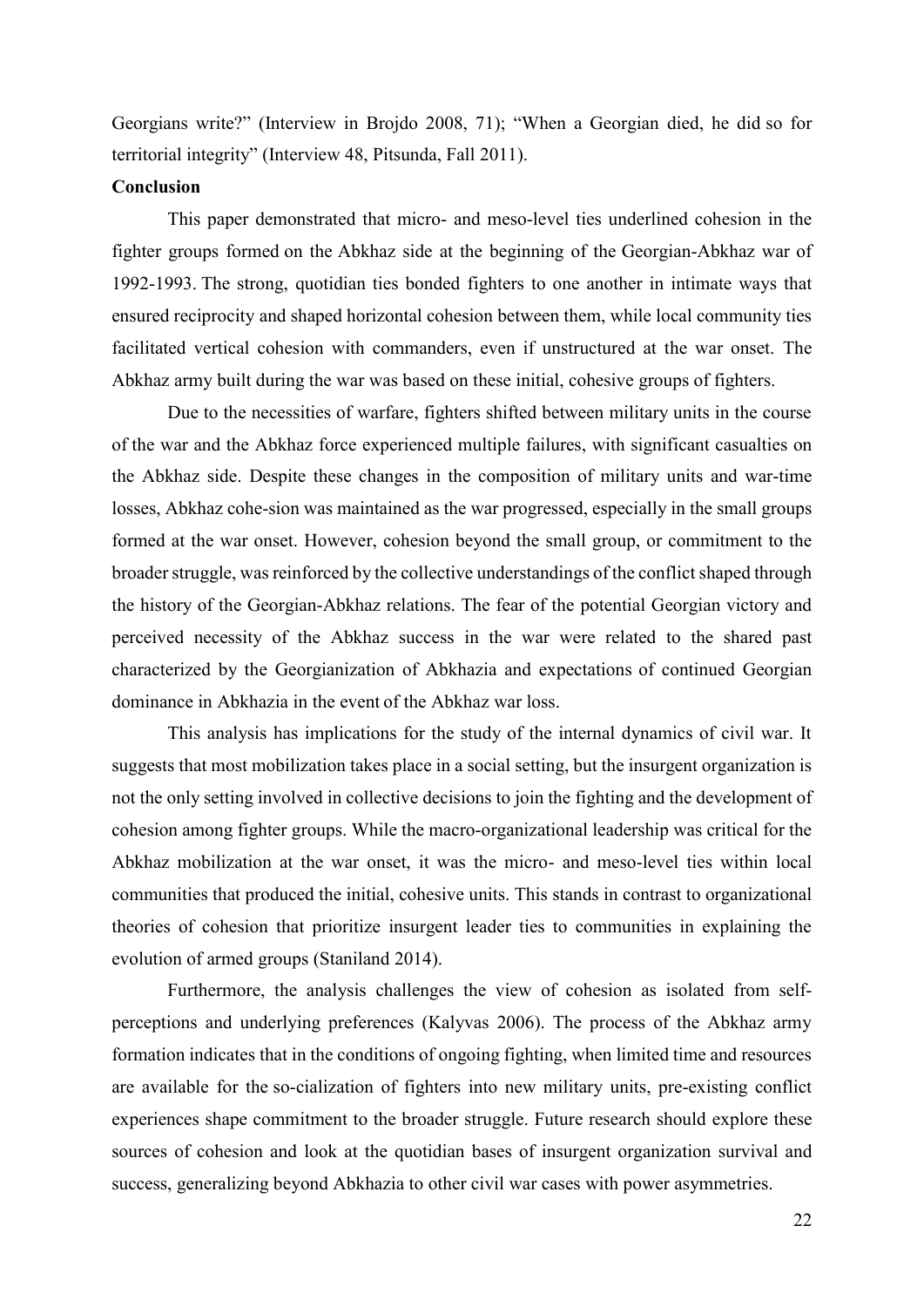Georgians write?" (Interview in Brojdo 2008, 71); "When a Georgian died, he did so for territorial integrity" (Interview 48, Pitsunda, Fall 2011).

#### **Conclusion**

This paper demonstrated that micro- and meso-level ties underlined cohesion in the fighter groups formed on the Abkhaz side at the beginning of the Georgian-Abkhaz war of 1992-1993. The strong, quotidian ties bonded fighters to one another in intimate ways that ensured reciprocity and shaped horizontal cohesion between them, while local community ties facilitated vertical cohesion with commanders, even if unstructured at the war onset. The Abkhaz army built during the war was based on these initial, cohesive groups of fighters.

Due to the necessities of warfare, fighters shifted between military units in the course of the war and the Abkhaz force experienced multiple failures, with significant casualties on the Abkhaz side. Despite these changes in the composition of military units and war-time losses, Abkhaz cohe-sion was maintained as the war progressed, especially in the small groups formed at the war onset. However, cohesion beyond the small group, or commitment to the broader struggle, was reinforced by the collective understandings of the conflict shaped through the history of the Georgian-Abkhaz relations. The fear of the potential Georgian victory and perceived necessity of the Abkhaz success in the war were related to the shared past characterized by the Georgianization of Abkhazia and expectations of continued Georgian dominance in Abkhazia in the event of the Abkhaz war loss.

This analysis has implications for the study of the internal dynamics of civil war. It suggests that most mobilization takes place in a social setting, but the insurgent organization is not the only setting involved in collective decisions to join the fighting and the development of cohesion among fighter groups. While the macro-organizational leadership was critical for the Abkhaz mobilization at the war onset, it was the micro- and meso-level ties within local communities that produced the initial, cohesive units. This stands in contrast to organizational theories of cohesion that prioritize insurgent leader ties to communities in explaining the evolution of armed groups (Staniland 2014).

Furthermore, the analysis challenges the view of cohesion as isolated from selfperceptions and underlying preferences (Kalyvas 2006). The process of the Abkhaz army formation indicates that in the conditions of ongoing fighting, when limited time and resources are available for the so-cialization of fighters into new military units, pre-existing conflict experiences shape commitment to the broader struggle. Future research should explore these sources of cohesion and look at the quotidian bases of insurgent organization survival and success, generalizing beyond Abkhazia to other civil war cases with power asymmetries.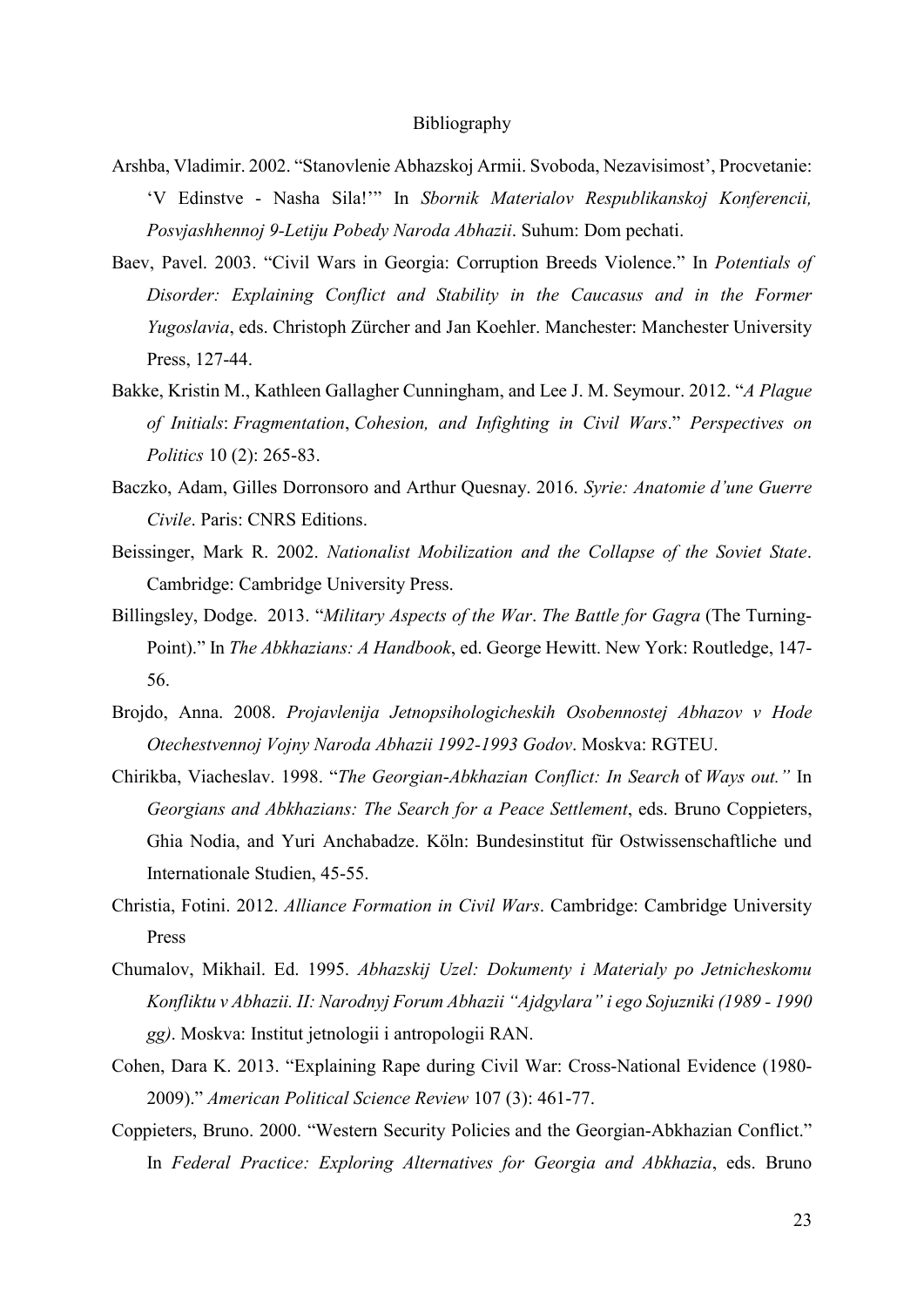#### Bibliography

- Arshba, Vladimir. 2002. "Stanovlenie Abhazskoj Armii. Svoboda, Nezavisimost', Procvetanie: 'V Edinstve - Nasha Sila!'" In *Sbornik Materialov Respublikanskoj Konferencii, Posvjashhennoj 9-Letiju Pobedy Naroda Abhazii*. Suhum: Dom pechati.
- Baev, Pavel. 2003. "Civil Wars in Georgia: Corruption Breeds Violence." In *Potentials of Disorder: Explaining Conflict and Stability in the Caucasus and in the Former Yugoslavia*, eds. Christoph Zürcher and Jan Koehler. Manchester: Manchester University Press, 127-44.
- Bakke, Kristin M., Kathleen Gallagher Cunningham, and Lee J. M. Seymour. 2012. "*A Plague of Initials*: *Fragmentation*, *Cohesion, and Infighting in Civil Wars*." *Perspectives on Politics* 10 (2): 265-83.
- Baczko, Adam, Gilles Dorronsoro and Arthur Quesnay. 2016. *Syrie: Anatomie d'une Guerre Civile*. Paris: CNRS Editions.
- Beissinger, Mark R. 2002. *Nationalist Mobilization and the Collapse of the Soviet State*. Cambridge: Cambridge University Press.
- Billingsley, Dodge. 2013. "*Military Aspects of the War*. *The Battle for Gagra* (The Turning-Point)." In *The Abkhazians: A Handbook*, ed. George Hewitt. New York: Routledge, 147- 56.
- Brojdo, Anna. 2008. *Projavlenija Jetnopsihologicheskih Osobennostej Abhazov v Hode Otechestvennoj Vojny Naroda Abhazii 1992-1993 Godov*. Moskva: RGTEU.
- Chirikba, Viacheslav. 1998. "*The Georgian*-*Abkhazian Conflict: In Search* of *Ways out."* In *Georgians and Abkhazians: The Search for a Peace Settlement*, eds. Bruno Coppieters, Ghia Nodia, and Yuri Anchabadze. Köln: Bundesinstitut für Ostwissenschaftliche und Internationale Studien, 45-55.
- Christia, Fotini. 2012. *Alliance Formation in Civil Wars*. Cambridge: Cambridge University Press
- Chumalov, Mikhail. Ed. 1995. *Abhazskij Uzel: Dokumenty i Materialy po Jetnicheskomu Konfliktu v Abhazii. II: Narodnyj Forum Abhazii "Ajdgylara" i ego Sojuzniki (1989 - 1990 gg)*. Moskva: Institut jetnologii i antropologii RAN.
- Cohen, Dara K. 2013. "Explaining Rape during Civil War: Cross-National Evidence (1980- 2009)." *American Political Science Review* 107 (3): 461-77.
- Coppieters, Bruno. 2000. "Western Security Policies and the Georgian-Abkhazian Conflict." In *Federal Practice: Exploring Alternatives for Georgia and Abkhazia*, eds. Bruno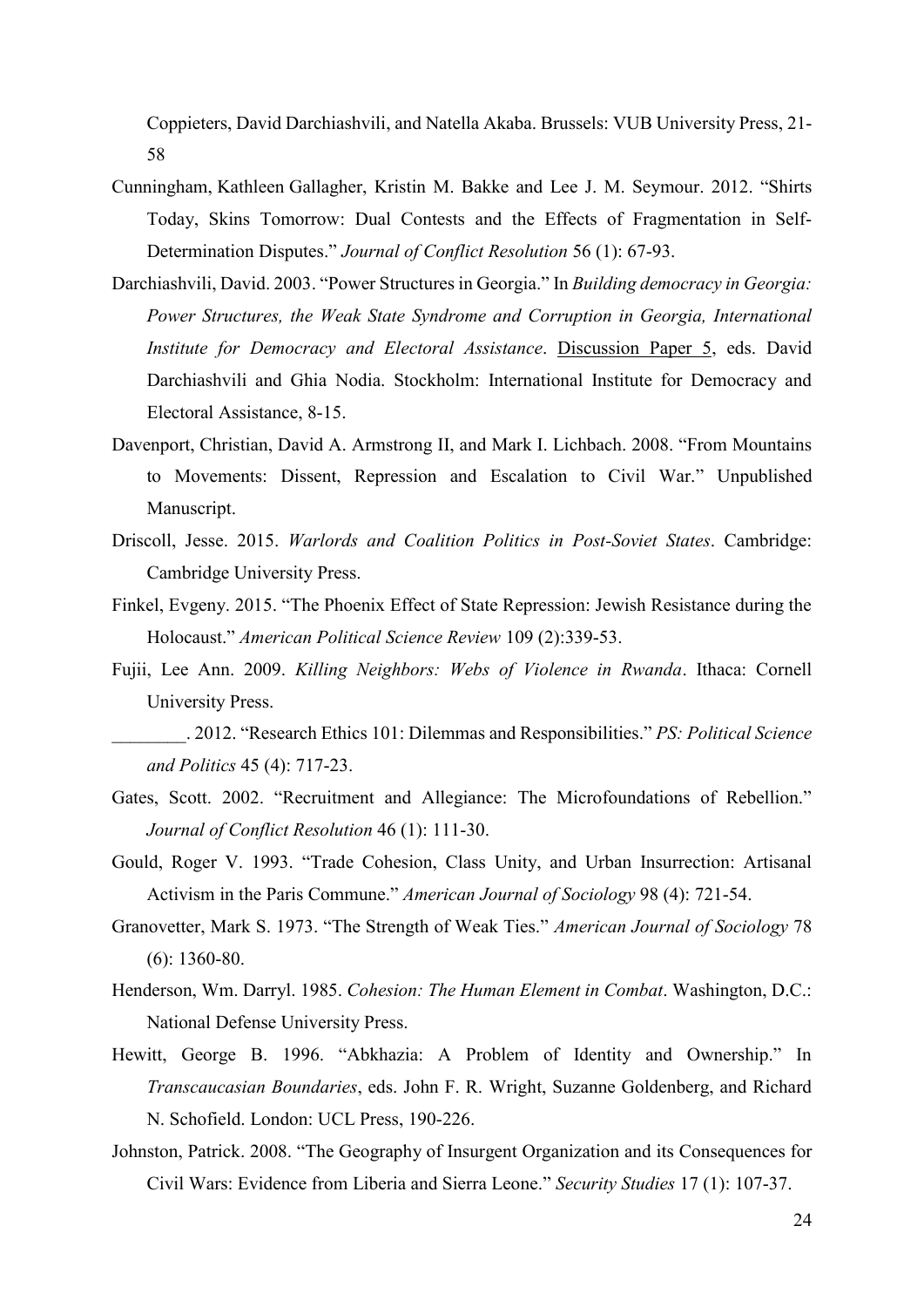Coppieters, David Darchiashvili, and Natella Akaba. Brussels: VUB University Press, 21- 58

- Cunningham, Kathleen Gallagher, Kristin M. Bakke and Lee J. M. Seymour. 2012. "Shirts Today, Skins Tomorrow: Dual Contests and the Effects of Fragmentation in Self-Determination Disputes." *Journal of Conflict Resolution* 56 (1): 67-93.
- Darchiashvili, David. 2003. "Power Structures in Georgia." In *Building democracy in Georgia: Power Structures, the Weak State Syndrome and Corruption in Georgia, International Institute for Democracy and Electoral Assistance*. Discussion Paper 5, eds. David Darchiashvili and Ghia Nodia. Stockholm: International Institute for Democracy and Electoral Assistance, 8-15.
- Davenport, Christian, David A. Armstrong II, and Mark I. Lichbach. 2008. "From Mountains to Movements: Dissent, Repression and Escalation to Civil War." Unpublished Manuscript.
- Driscoll, Jesse. 2015. *Warlords and Coalition Politics in Post-Soviet States*. Cambridge: Cambridge University Press.
- Finkel, Evgeny. 2015. "The Phoenix Effect of State Repression: Jewish Resistance during the Holocaust." *American Political Science Review* 109 (2):339-53.
- Fujii, Lee Ann. 2009. *Killing Neighbors: Webs of Violence in Rwanda*. Ithaca: Cornell University Press.
- \_\_\_\_\_\_\_\_. 2012. "Research Ethics 101: Dilemmas and Responsibilities." *PS: Political Science and Politics* 45 (4): 717-23.
- Gates, Scott. 2002. "Recruitment and Allegiance: The Microfoundations of Rebellion." *Journal of Conflict Resolution* 46 (1): 111-30.
- Gould, Roger V. 1993. "Trade Cohesion, Class Unity, and Urban Insurrection: Artisanal Activism in the Paris Commune." *American Journal of Sociology* 98 (4): 721-54.
- Granovetter, Mark S. 1973. "The Strength of Weak Ties." *American Journal of Sociology* 78 (6): 1360-80.
- Henderson, Wm. Darryl. 1985. *Cohesion: The Human Element in Combat*. Washington, D.C.: National Defense University Press.
- Hewitt, George B. 1996. "Abkhazia: A Problem of Identity and Ownership." In *Transcaucasian Boundaries*, eds. John F. R. Wright, Suzanne Goldenberg, and Richard N. Schofield. London: UCL Press, 190-226.
- Johnston, Patrick. 2008. "The Geography of Insurgent Organization and its Consequences for Civil Wars: Evidence from Liberia and Sierra Leone." *Security Studies* 17 (1): 107-37.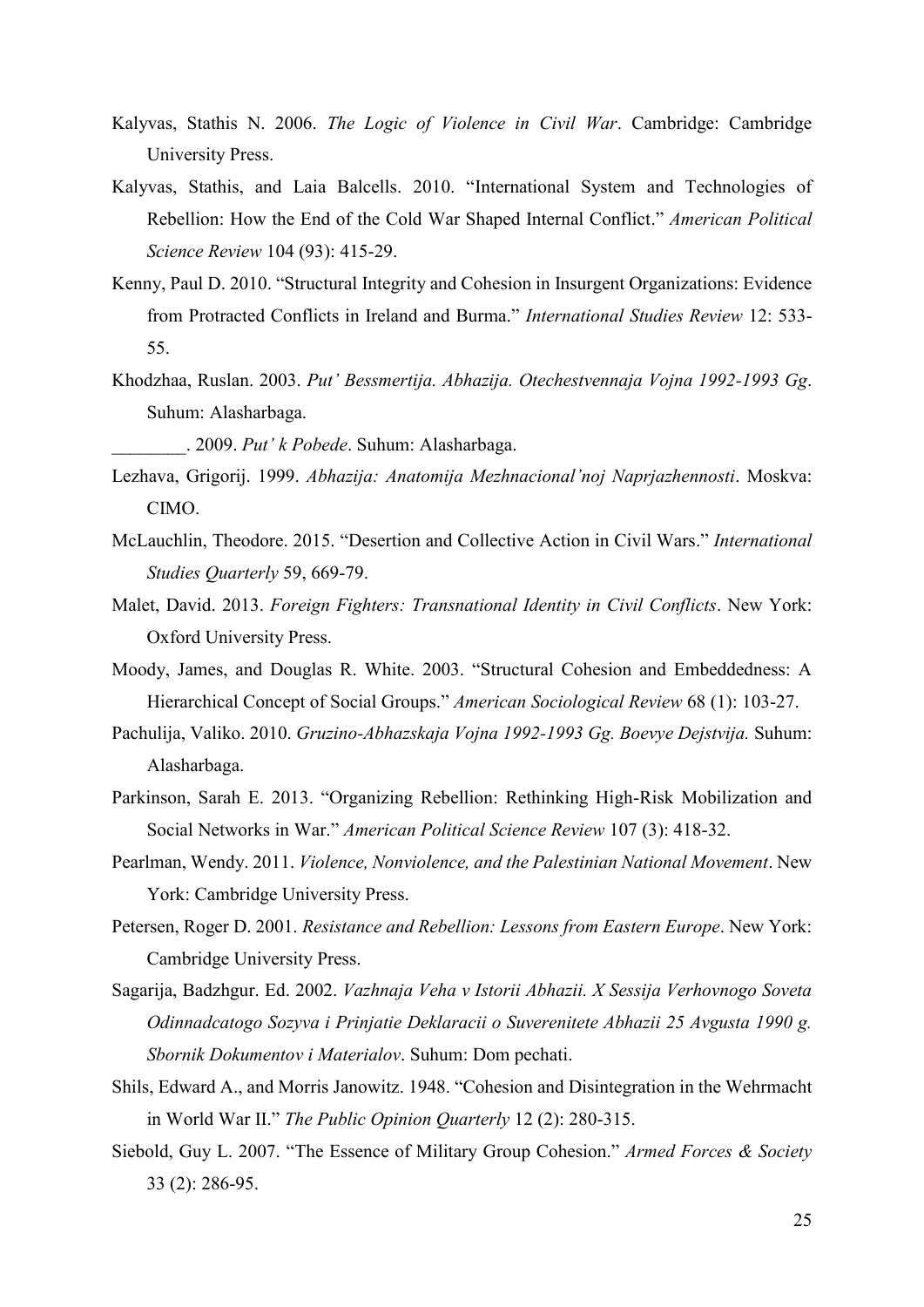- Kalyvas, Stathis N. 2006. *The Logic of Violence in Civil War*. Cambridge: Cambridge University Press.
- Kalyvas, Stathis, and Laia Balcells. 2010. "International System and Technologies of Rebellion: How the End of the Cold War Shaped Internal Conflict." *American Political Science Review* 104 (93): 415-29.
- Kenny, Paul D. 2010. "Structural Integrity and Cohesion in Insurgent Organizations: Evidence from Protracted Conflicts in Ireland and Burma." *International Studies Review* 12: 533- 55.
- Khodzhaa, Ruslan. 2003. *Put' Bessmertija. Abhazija. Otechestvennaja Vojna 1992-1993 Gg*. Suhum: Alasharbaga.

\_\_\_\_\_\_\_\_. 2009. *Put' k Pobede*. Suhum: Alasharbaga.

- Lezhava, Grigorij. 1999. *Abhazija: Anatomija Mezhnacional'noj Naprjazhennosti*. Moskva: CIMO.
- McLauchlin, Theodore. 2015. "Desertion and Collective Action in Civil Wars." *International Studies Quarterly* 59, 669-79.
- Malet, David. 2013. *Foreign Fighters: Transnational Identity in Civil Conflicts*. New York: Oxford University Press.
- Moody, James, and Douglas R. White. 2003. "Structural Cohesion and Embeddedness: A Hierarchical Concept of Social Groups." *American Sociological Review* 68 (1): 103-27.
- Pachulija, Valiko. 2010. *Gruzino-Abhazskaja Vojna 1992-1993 Gg. Boevye Dejstvija.* Suhum: Alasharbaga.
- Parkinson, Sarah E. 2013. "Organizing Rebellion: Rethinking High-Risk Mobilization and Social Networks in War." *American Political Science Review* 107 (3): 418-32.
- Pearlman, Wendy. 2011. *Violence, Nonviolence, and the Palestinian National Movement*. New York: Cambridge University Press.
- Petersen, Roger D. 2001. *Resistance and Rebellion: Lessons from Eastern Europe*. New York: Cambridge University Press.
- Sagarija, Badzhgur. Ed. 2002. *Vazhnaja Veha v Istorii Abhazii. X Sessija Verhovnogo Soveta Odinnadcatogo Sozyva i Prinjatie Deklaracii o Suverenitete Abhazii 25 Avgusta 1990 g. Sbornik Dokumentov i Materialov*. Suhum: Dom pechati.
- Shils, Edward A., and Morris Janowitz. 1948. "Cohesion and Disintegration in the Wehrmacht in World War II." *The Public Opinion Quarterly* 12 (2): 280-315.
- Siebold, Guy L. 2007. "The Essence of Military Group Cohesion." *Armed Forces & Society* 33 (2): 286-95.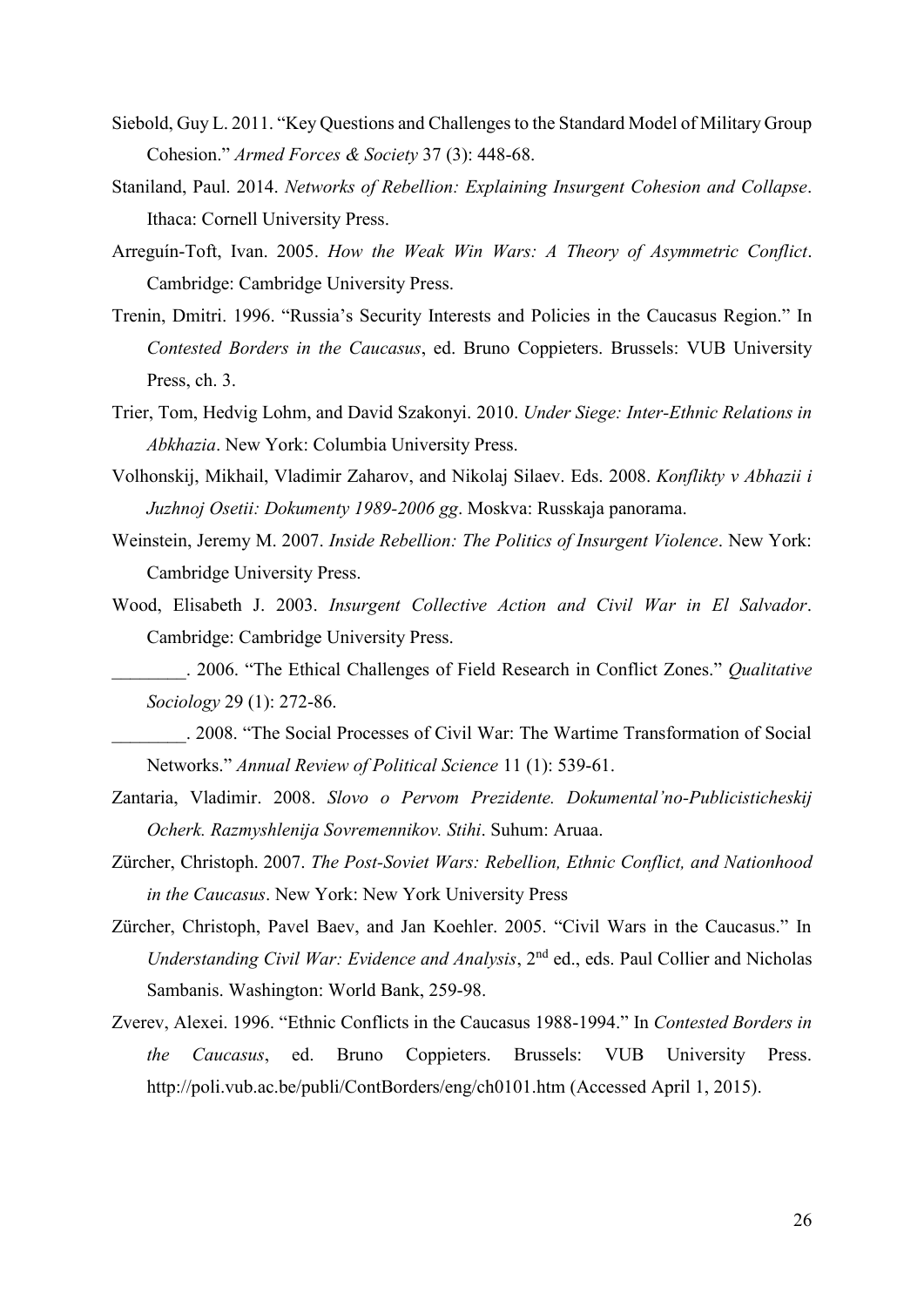- Siebold, Guy L. 2011. "Key Questions and Challenges to the Standard Model of Military Group Cohesion." *Armed Forces & Society* 37 (3): 448-68.
- Staniland, Paul. 2014. *Networks of Rebellion: Explaining Insurgent Cohesion and Collapse*. Ithaca: Cornell University Press.
- Arreguín-Toft, Ivan. 2005. *How the Weak Win Wars: A Theory of Asymmetric Conflict*. Cambridge: Cambridge University Press.
- Trenin, Dmitri. 1996. "Russia's Security Interests and Policies in the Caucasus Region." In *Contested Borders in the Caucasus*, ed. Bruno Coppieters. Brussels: VUB University Press, ch. 3.
- Trier, Tom, Hedvig Lohm, and David Szakonyi. 2010. *Under Siege: Inter-Ethnic Relations in Abkhazia*. New York: Columbia University Press.
- Volhonskij, Mikhail, Vladimir Zaharov, and Nikolaj Silaev. Eds. 2008. *Konflikty v Abhazii i Juzhnoj Osetii: Dokumenty 1989-2006 gg*. Moskva: Russkaja panorama.
- Weinstein, Jeremy M. 2007. *Inside Rebellion: The Politics of Insurgent Violence*. New York: Cambridge University Press.
- Wood, Elisabeth J. 2003. *Insurgent Collective Action and Civil War in El Salvador*. Cambridge: Cambridge University Press.

\_\_\_\_\_\_\_\_. 2006. "The Ethical Challenges of Field Research in Conflict Zones." *Qualitative Sociology* 29 (1): 272-86.

- \_\_\_\_\_\_\_\_. 2008. "The Social Processes of Civil War: The Wartime Transformation of Social Networks." *Annual Review of Political Science* 11 (1): 539-61.
- Zantaria, Vladimir. 2008. *Slovo o Pervom Prezidente. Dokumental'no-Publicisticheskij Ocherk. Razmyshlenija Sovremennikov. Stihi*. Suhum: Aruaa.
- Zürcher, Christoph. 2007. *The Post-Soviet Wars: Rebellion, Ethnic Conflict, and Nationhood in the Caucasus*. New York: New York University Press
- Zürcher, Christoph, Pavel Baev, and Jan Koehler. 2005. "Civil Wars in the Caucasus." In *Understanding Civil War: Evidence and Analysis*, 2<sup>nd</sup> ed., eds. Paul Collier and Nicholas Sambanis. Washington: World Bank, 259-98.
- Zverev, Alexei. 1996. "Ethnic Conflicts in the Caucasus 1988-1994." In *Contested Borders in the Caucasus*, ed. Bruno Coppieters. Brussels: VUB University Press. http://poli.vub.ac.be/publi/ContBorders/eng/ch0101.htm (Accessed April 1, 2015).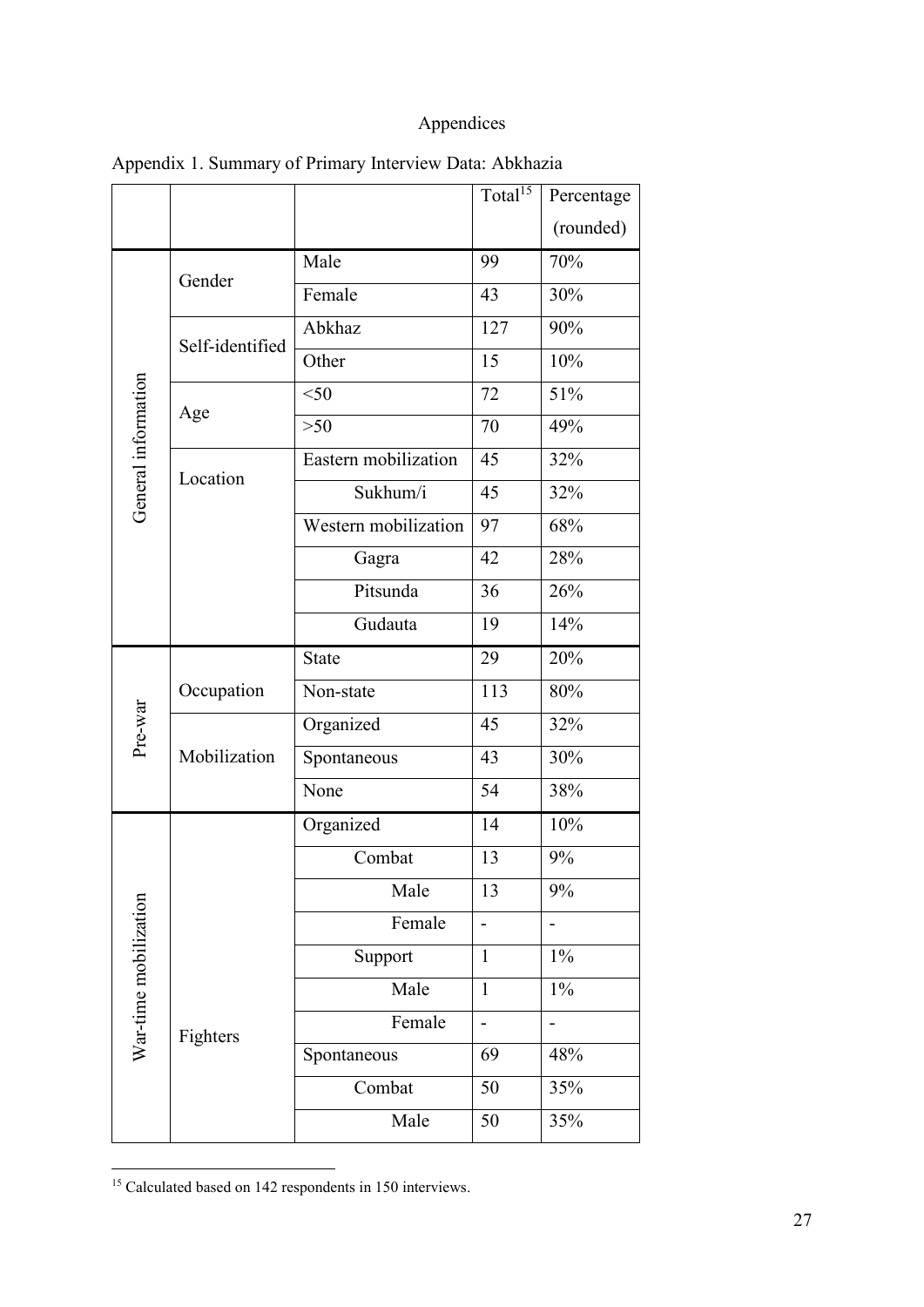### Appendices

|                       |                 |                      | Total <sup>15</sup>      | Percentage |
|-----------------------|-----------------|----------------------|--------------------------|------------|
|                       |                 |                      |                          | (rounded)  |
|                       | Gender          | Male                 | 99                       | 70%        |
|                       |                 | Female               | 43                       | 30%        |
|                       | Self-identified | Abkhaz               | 127                      | 90%        |
|                       |                 | Other                | 15                       | 10%        |
|                       |                 | $50$                 | 72                       | 51%        |
| General information   | Age             | $>50$                | 70                       | 49%        |
|                       |                 | Eastern mobilization | 45                       | 32%        |
|                       | Location        | Sukhum/i             | 45                       | 32%        |
|                       |                 | Western mobilization | 97                       | 68%        |
|                       |                 | Gagra                | 42                       | 28%        |
|                       |                 | Pitsunda             | 36                       | 26%        |
|                       |                 | Gudauta              | 19                       | 14%        |
|                       |                 | <b>State</b>         | 29                       | 20%        |
| Pre-war               | Occupation      | Non-state            | 113                      | 80%        |
|                       |                 | Organized            | 45                       | 32%        |
|                       | Mobilization    | Spontaneous          | 43                       | 30%        |
|                       |                 | None                 | 54                       | 38%        |
|                       |                 | Organized            | 14                       | 10%        |
|                       |                 | Combat               | 13                       | 9%         |
| War-time mobilization |                 | Male                 | 13                       | 9%         |
|                       |                 | Female               |                          |            |
|                       |                 | Support              | $\mathbf{1}$             | $1\%$      |
|                       | Fighters        | Male                 | $\mathbf{1}$             | $1\%$      |
|                       |                 | Female               | $\overline{\phantom{0}}$ |            |
|                       |                 | Spontaneous          | 69                       | 48%        |
|                       |                 | Combat               | 50                       | 35%        |
|                       |                 | Male                 | 50                       | 35%        |

Appendix 1. Summary of Primary Interview Data: Abkhazia

<sup>&</sup>lt;sup>15</sup> Calculated based on 142 respondents in 150 interviews.